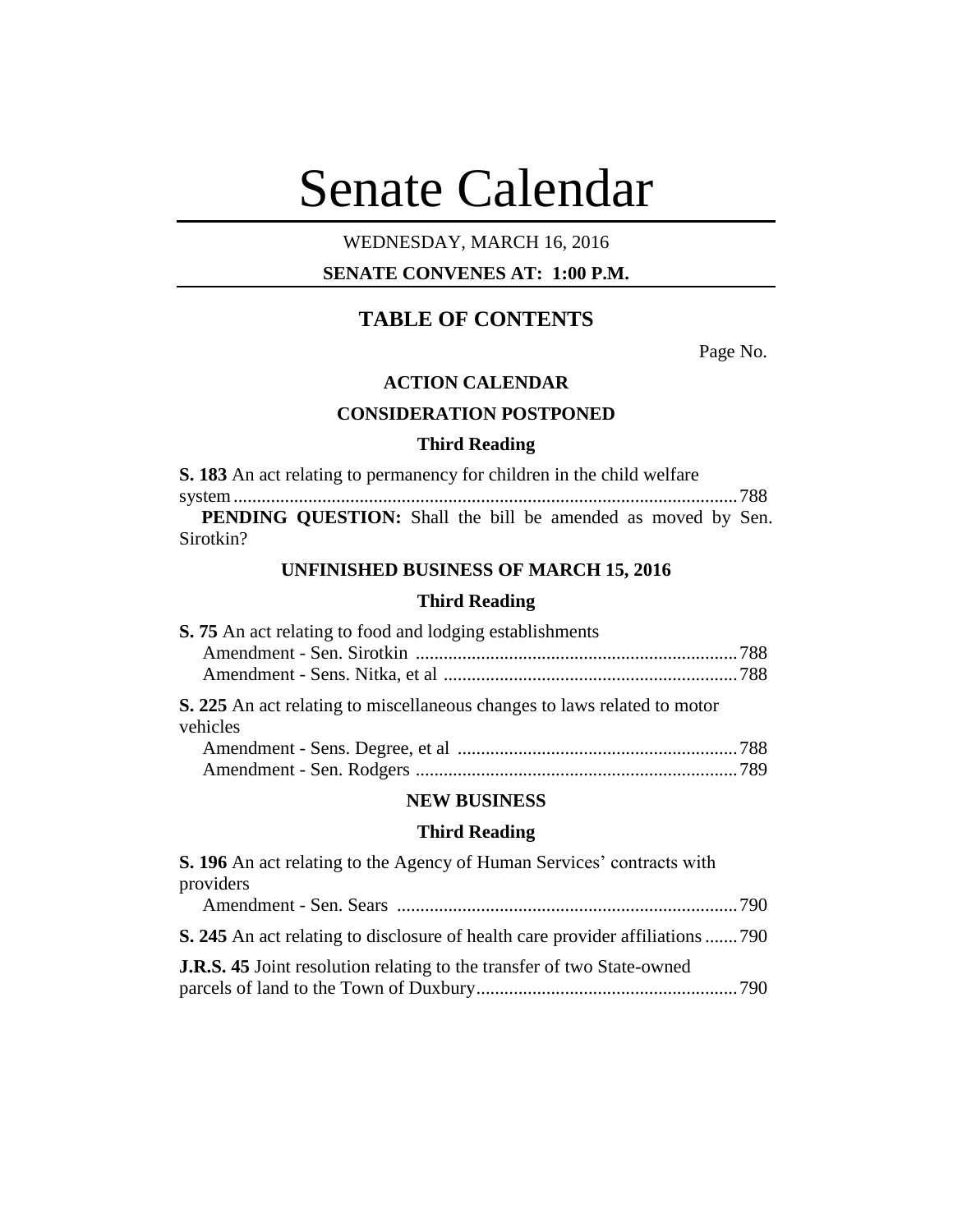# Senate Calendar

## WEDNESDAY, MARCH 16, 2016

## **SENATE CONVENES AT: 1:00 P.M.**

# **TABLE OF CONTENTS**

Page No.

#### **ACTION CALENDAR**

## **CONSIDERATION POSTPONED**

#### **Third Reading**

**S. 183** An act relating to permanency for children in the child welfare

system............................................................................................................788 **PENDING QUESTION:** Shall the bill be amended as moved by Sen. Sirotkin?

## **UNFINISHED BUSINESS OF MARCH 15, 2016**

## **Third Reading**

| S. 75 An act relating to food and lodging establishments                             |  |
|--------------------------------------------------------------------------------------|--|
|                                                                                      |  |
|                                                                                      |  |
| S. 225 An act relating to miscellaneous changes to laws related to motor<br>vehicles |  |
|                                                                                      |  |
|                                                                                      |  |

#### **NEW BUSINESS**

## **Third Reading**

| S. 196 An act relating to the Agency of Human Services' contracts with                |  |
|---------------------------------------------------------------------------------------|--|
| providers                                                                             |  |
|                                                                                       |  |
| <b>S. 245</b> An act relating to disclosure of health care provider affiliations  790 |  |
| <b>J.R.S. 45</b> Joint resolution relating to the transfer of two State-owned         |  |
|                                                                                       |  |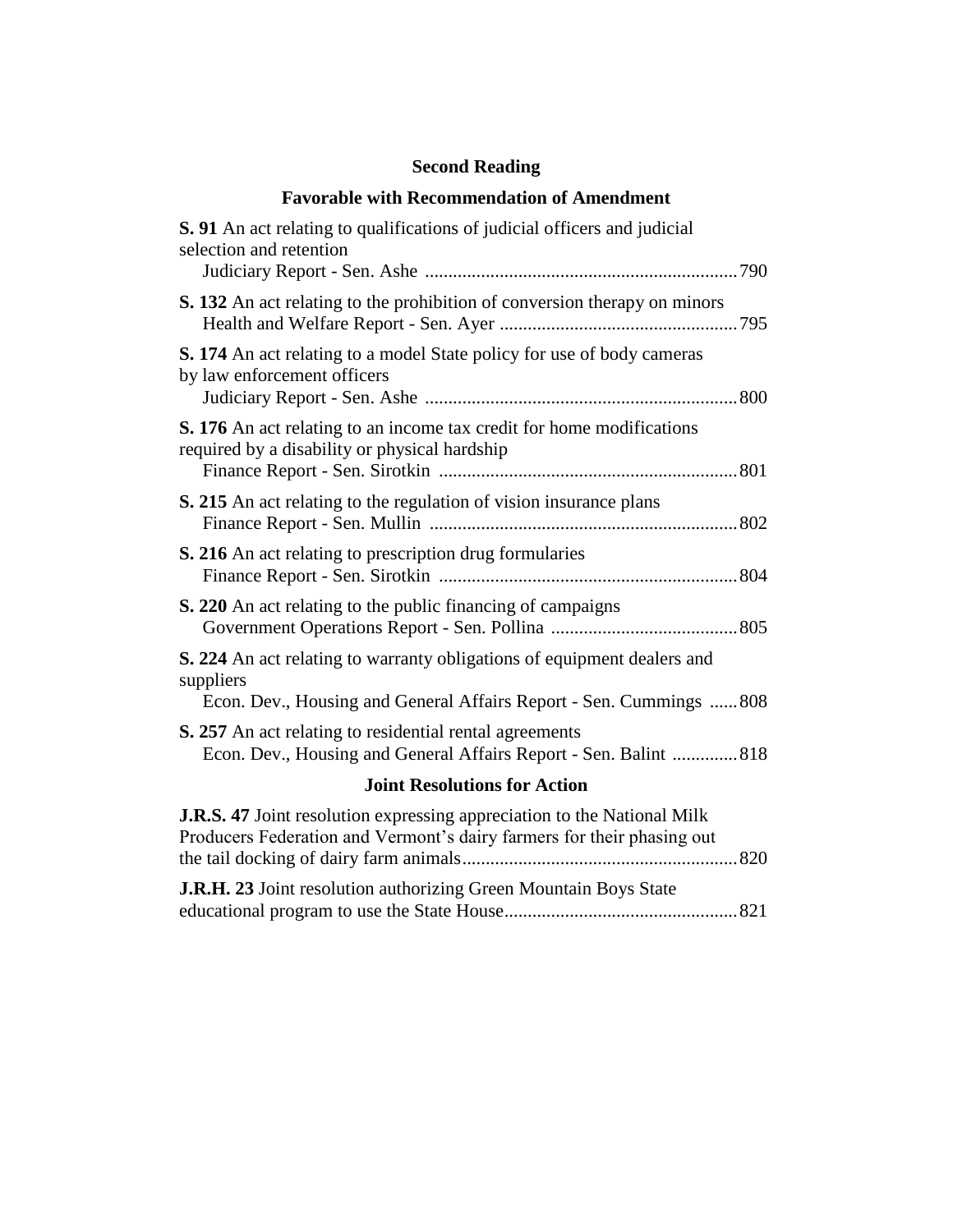## **Second Reading**

## **Favorable with Recommendation of Amendment**

| <b>S. 91</b> An act relating to qualifications of judicial officers and judicial<br>selection and retention                                                 |
|-------------------------------------------------------------------------------------------------------------------------------------------------------------|
| S. 132 An act relating to the prohibition of conversion therapy on minors                                                                                   |
| <b>S. 174</b> An act relating to a model State policy for use of body cameras<br>by law enforcement officers                                                |
| S. 176 An act relating to an income tax credit for home modifications<br>required by a disability or physical hardship                                      |
| S. 215 An act relating to the regulation of vision insurance plans                                                                                          |
| S. 216 An act relating to prescription drug formularies                                                                                                     |
| <b>S. 220</b> An act relating to the public financing of campaigns                                                                                          |
| S. 224 An act relating to warranty obligations of equipment dealers and<br>suppliers<br>Econ. Dev., Housing and General Affairs Report - Sen. Cummings  808 |
| <b>S. 257</b> An act relating to residential rental agreements<br>Econ. Dev., Housing and General Affairs Report - Sen. Balint  818                         |
| <b>Joint Resolutions for Action</b>                                                                                                                         |
| <b>J.R.S. 47</b> Joint resolution expressing appreciation to the National Milk<br>Producers Federation and Vermont's dairy farmers for their phasing out    |

**J.R.H. 23** Joint resolution authorizing Green Mountain Boys State educational program to use the State House..................................................821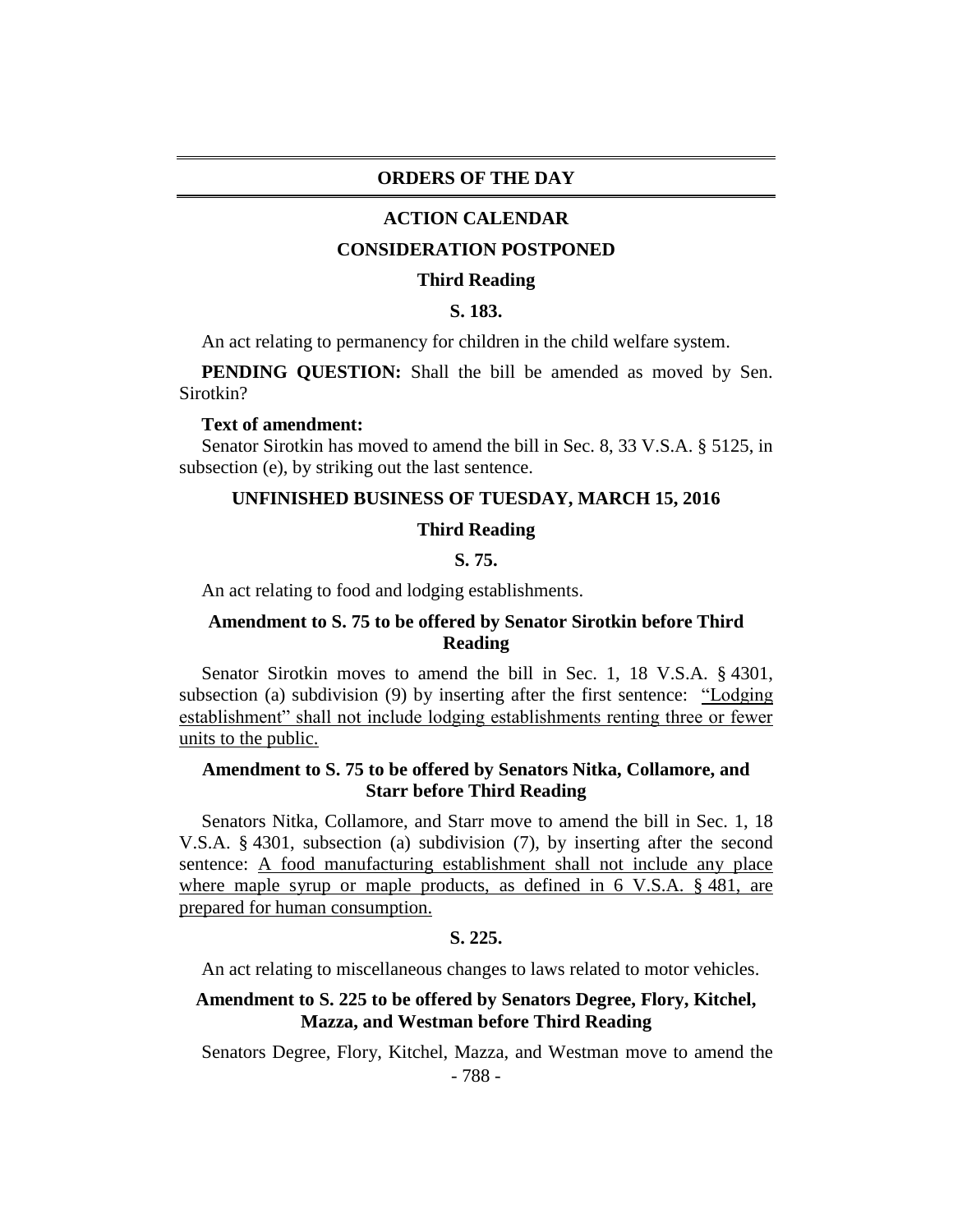## **ORDERS OF THE DAY**

#### **ACTION CALENDAR**

#### **CONSIDERATION POSTPONED**

#### **Third Reading**

## **S. 183.**

An act relating to permanency for children in the child welfare system.

**PENDING QUESTION:** Shall the bill be amended as moved by Sen. Sirotkin?

#### **Text of amendment:**

Senator Sirotkin has moved to amend the bill in Sec. 8, 33 V.S.A. § 5125, in subsection (e), by striking out the last sentence.

#### **UNFINISHED BUSINESS OF TUESDAY, MARCH 15, 2016**

#### **Third Reading**

#### **S. 75.**

An act relating to food and lodging establishments.

## **Amendment to S. 75 to be offered by Senator Sirotkin before Third Reading**

Senator Sirotkin moves to amend the bill in Sec. 1, 18 V.S.A. § 4301, subsection (a) subdivision (9) by inserting after the first sentence: "Lodging establishment" shall not include lodging establishments renting three or fewer units to the public.

## **Amendment to S. 75 to be offered by Senators Nitka, Collamore, and Starr before Third Reading**

Senators Nitka, Collamore, and Starr move to amend the bill in Sec. 1, 18 V.S.A. § 4301, subsection (a) subdivision (7), by inserting after the second sentence: A food manufacturing establishment shall not include any place where maple syrup or maple products, as defined in 6 V.S.A. § 481, are prepared for human consumption.

#### **S. 225.**

An act relating to miscellaneous changes to laws related to motor vehicles.

## **Amendment to S. 225 to be offered by Senators Degree, Flory, Kitchel, Mazza, and Westman before Third Reading**

Senators Degree, Flory, Kitchel, Mazza, and Westman move to amend the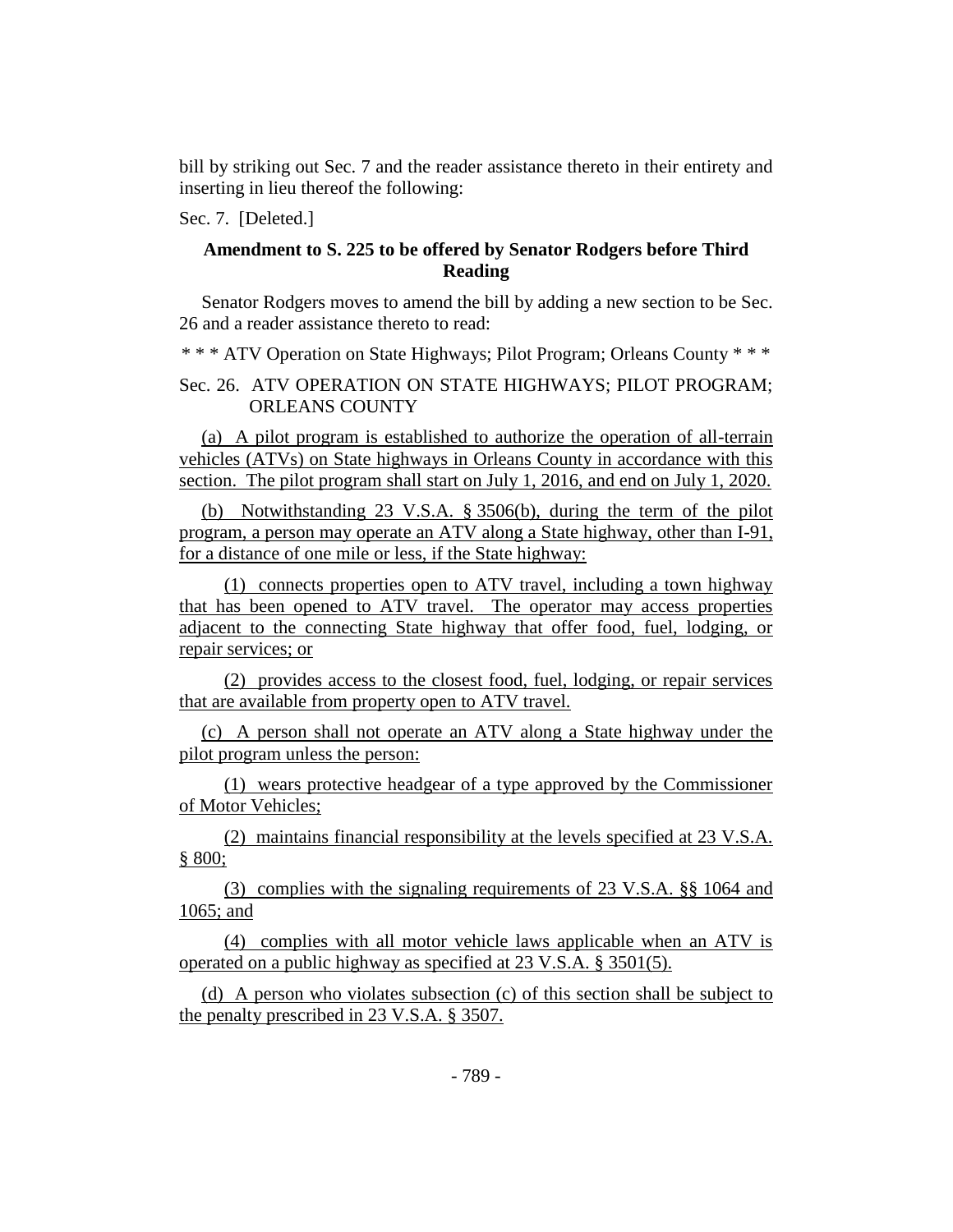bill by striking out Sec. 7 and the reader assistance thereto in their entirety and inserting in lieu thereof the following:

Sec. 7. [Deleted.]

#### **Amendment to S. 225 to be offered by Senator Rodgers before Third Reading**

Senator Rodgers moves to amend the bill by adding a new section to be Sec. 26 and a reader assistance thereto to read:

\* \* \* ATV Operation on State Highways; Pilot Program; Orleans County \* \* \*

Sec. 26. ATV OPERATION ON STATE HIGHWAYS; PILOT PROGRAM; ORLEANS COUNTY

(a) A pilot program is established to authorize the operation of all-terrain vehicles (ATVs) on State highways in Orleans County in accordance with this section. The pilot program shall start on July 1, 2016, and end on July 1, 2020.

(b) Notwithstanding 23 V.S.A. § 3506(b), during the term of the pilot program, a person may operate an ATV along a State highway, other than I-91, for a distance of one mile or less, if the State highway:

(1) connects properties open to ATV travel, including a town highway that has been opened to ATV travel. The operator may access properties adjacent to the connecting State highway that offer food, fuel, lodging, or repair services; or

(2) provides access to the closest food, fuel, lodging, or repair services that are available from property open to ATV travel.

(c) A person shall not operate an ATV along a State highway under the pilot program unless the person:

(1) wears protective headgear of a type approved by the Commissioner of Motor Vehicles;

(2) maintains financial responsibility at the levels specified at 23 V.S.A. § 800;

(3) complies with the signaling requirements of 23 V.S.A. §§ 1064 and 1065; and

(4) complies with all motor vehicle laws applicable when an ATV is operated on a public highway as specified at 23 V.S.A. § 3501(5).

(d) A person who violates subsection (c) of this section shall be subject to the penalty prescribed in 23 V.S.A. § 3507.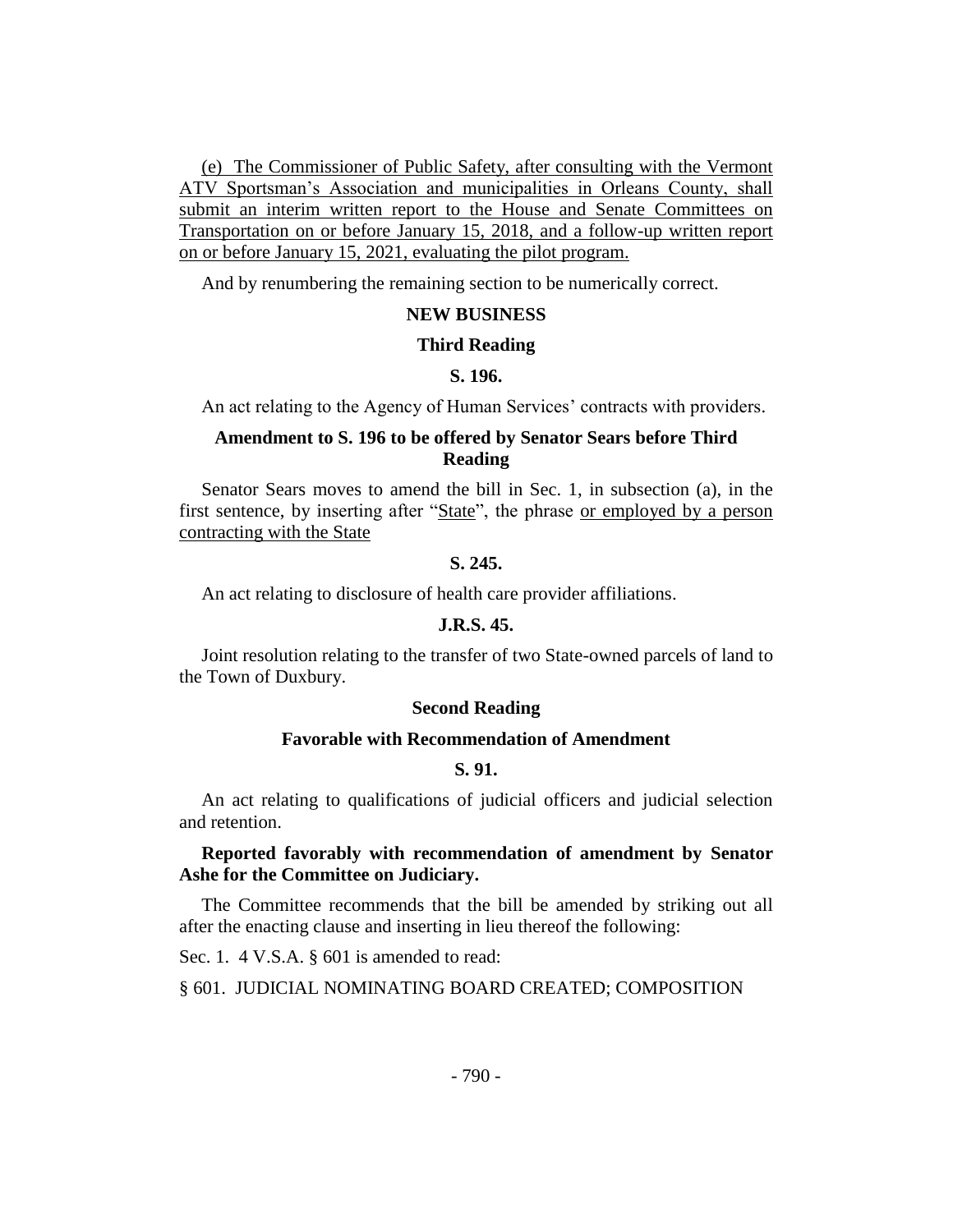(e) The Commissioner of Public Safety, after consulting with the Vermont ATV Sportsman's Association and municipalities in Orleans County, shall submit an interim written report to the House and Senate Committees on Transportation on or before January 15, 2018, and a follow-up written report on or before January 15, 2021, evaluating the pilot program.

And by renumbering the remaining section to be numerically correct.

#### **NEW BUSINESS**

#### **Third Reading**

## **S. 196.**

An act relating to the Agency of Human Services' contracts with providers.

## **Amendment to S. 196 to be offered by Senator Sears before Third Reading**

Senator Sears moves to amend the bill in Sec. 1, in subsection (a), in the first sentence, by inserting after "State", the phrase or employed by a person contracting with the State

#### **S. 245.**

An act relating to disclosure of health care provider affiliations.

#### **J.R.S. 45.**

Joint resolution relating to the transfer of two State-owned parcels of land to the Town of Duxbury.

#### **Second Reading**

#### **Favorable with Recommendation of Amendment**

## **S. 91.**

An act relating to qualifications of judicial officers and judicial selection and retention.

## **Reported favorably with recommendation of amendment by Senator Ashe for the Committee on Judiciary.**

The Committee recommends that the bill be amended by striking out all after the enacting clause and inserting in lieu thereof the following:

Sec. 1. 4 V.S.A. § 601 is amended to read:

§ 601. JUDICIAL NOMINATING BOARD CREATED; COMPOSITION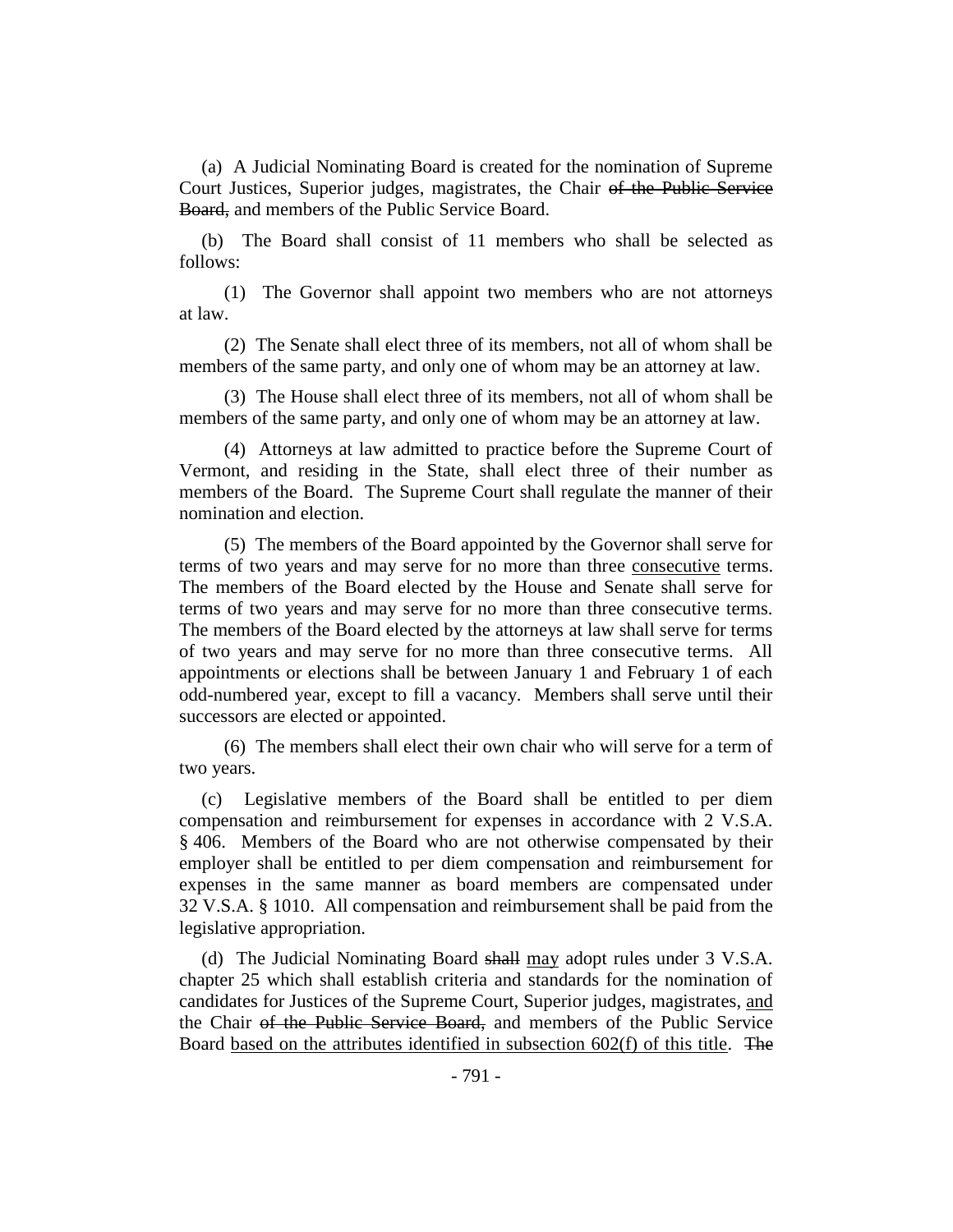(a) A Judicial Nominating Board is created for the nomination of Supreme Court Justices, Superior judges, magistrates, the Chair of the Public Service Board, and members of the Public Service Board.

(b) The Board shall consist of 11 members who shall be selected as follows:

(1) The Governor shall appoint two members who are not attorneys at law.

(2) The Senate shall elect three of its members, not all of whom shall be members of the same party, and only one of whom may be an attorney at law.

(3) The House shall elect three of its members, not all of whom shall be members of the same party, and only one of whom may be an attorney at law.

(4) Attorneys at law admitted to practice before the Supreme Court of Vermont, and residing in the State, shall elect three of their number as members of the Board. The Supreme Court shall regulate the manner of their nomination and election.

(5) The members of the Board appointed by the Governor shall serve for terms of two years and may serve for no more than three consecutive terms. The members of the Board elected by the House and Senate shall serve for terms of two years and may serve for no more than three consecutive terms. The members of the Board elected by the attorneys at law shall serve for terms of two years and may serve for no more than three consecutive terms. All appointments or elections shall be between January 1 and February 1 of each odd-numbered year, except to fill a vacancy. Members shall serve until their successors are elected or appointed.

(6) The members shall elect their own chair who will serve for a term of two years.

(c) Legislative members of the Board shall be entitled to per diem compensation and reimbursement for expenses in accordance with 2 V.S.A. § 406. Members of the Board who are not otherwise compensated by their employer shall be entitled to per diem compensation and reimbursement for expenses in the same manner as board members are compensated under 32 V.S.A. § 1010. All compensation and reimbursement shall be paid from the legislative appropriation.

(d) The Judicial Nominating Board shall may adopt rules under 3 V.S.A. chapter 25 which shall establish criteria and standards for the nomination of candidates for Justices of the Supreme Court, Superior judges, magistrates, and the Chair of the Public Service Board, and members of the Public Service Board based on the attributes identified in subsection 602(f) of this title. The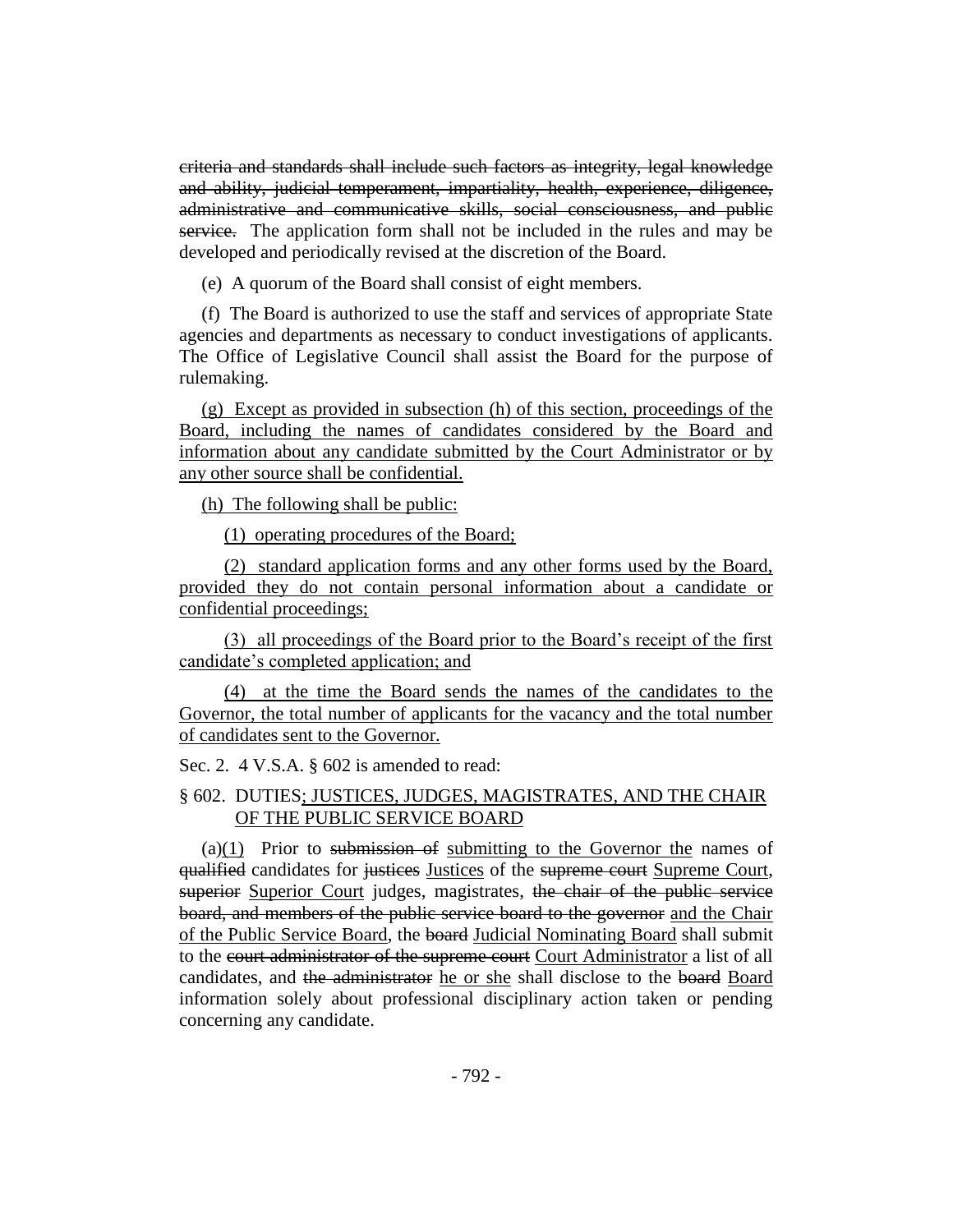criteria and standards shall include such factors as integrity, legal knowledge and ability, judicial temperament, impartiality, health, experience, diligence, administrative and communicative skills, social consciousness, and public service. The application form shall not be included in the rules and may be developed and periodically revised at the discretion of the Board.

(e) A quorum of the Board shall consist of eight members.

(f) The Board is authorized to use the staff and services of appropriate State agencies and departments as necessary to conduct investigations of applicants. The Office of Legislative Council shall assist the Board for the purpose of rulemaking.

(g) Except as provided in subsection (h) of this section, proceedings of the Board, including the names of candidates considered by the Board and information about any candidate submitted by the Court Administrator or by any other source shall be confidential.

(h) The following shall be public:

(1) operating procedures of the Board;

(2) standard application forms and any other forms used by the Board, provided they do not contain personal information about a candidate or confidential proceedings;

(3) all proceedings of the Board prior to the Board's receipt of the first candidate's completed application; and

(4) at the time the Board sends the names of the candidates to the Governor, the total number of applicants for the vacancy and the total number of candidates sent to the Governor.

Sec. 2. 4 V.S.A. § 602 is amended to read:

## § 602. DUTIES; JUSTICES, JUDGES, MAGISTRATES, AND THE CHAIR OF THE PUBLIC SERVICE BOARD

 $(a)(1)$  Prior to submission of submitting to the Governor the names of qualified candidates for justices Justices of the supreme court Supreme Court, superior Superior Court judges, magistrates, the chair of the public service board, and members of the public service board to the governor and the Chair of the Public Service Board, the board Judicial Nominating Board shall submit to the court administrator of the supreme court Court Administrator a list of all candidates, and the administrator he or she shall disclose to the board Board information solely about professional disciplinary action taken or pending concerning any candidate.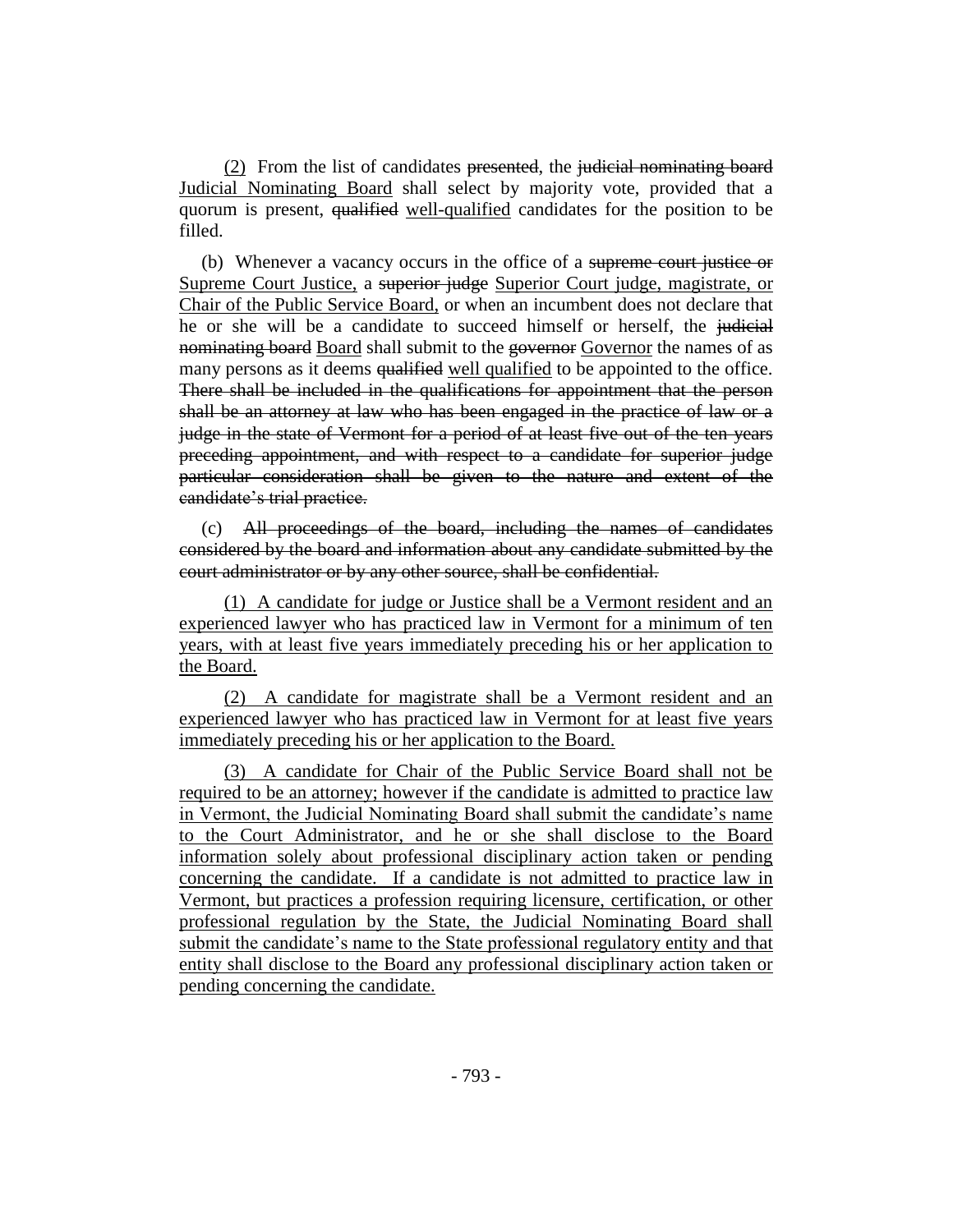(2) From the list of candidates presented, the judicial nominating board Judicial Nominating Board shall select by majority vote, provided that a quorum is present, qualified well-qualified candidates for the position to be filled.

(b) Whenever a vacancy occurs in the office of a supreme court justice or Supreme Court Justice, a superior judge Superior Court judge, magistrate, or Chair of the Public Service Board, or when an incumbent does not declare that he or she will be a candidate to succeed himself or herself, the judicial nominating board Board shall submit to the governor Governor the names of as many persons as it deems qualified well qualified to be appointed to the office. There shall be included in the qualifications for appointment that the person shall be an attorney at law who has been engaged in the practice of law or a judge in the state of Vermont for a period of at least five out of the ten years preceding appointment, and with respect to a candidate for superior judge particular consideration shall be given to the nature and extent of the candidate's trial practice.

(c) All proceedings of the board, including the names of candidates considered by the board and information about any candidate submitted by the court administrator or by any other source, shall be confidential.

(1) A candidate for judge or Justice shall be a Vermont resident and an experienced lawyer who has practiced law in Vermont for a minimum of ten years, with at least five years immediately preceding his or her application to the Board.

(2) A candidate for magistrate shall be a Vermont resident and an experienced lawyer who has practiced law in Vermont for at least five years immediately preceding his or her application to the Board.

(3) A candidate for Chair of the Public Service Board shall not be required to be an attorney; however if the candidate is admitted to practice law in Vermont, the Judicial Nominating Board shall submit the candidate's name to the Court Administrator, and he or she shall disclose to the Board information solely about professional disciplinary action taken or pending concerning the candidate. If a candidate is not admitted to practice law in Vermont, but practices a profession requiring licensure, certification, or other professional regulation by the State, the Judicial Nominating Board shall submit the candidate's name to the State professional regulatory entity and that entity shall disclose to the Board any professional disciplinary action taken or pending concerning the candidate.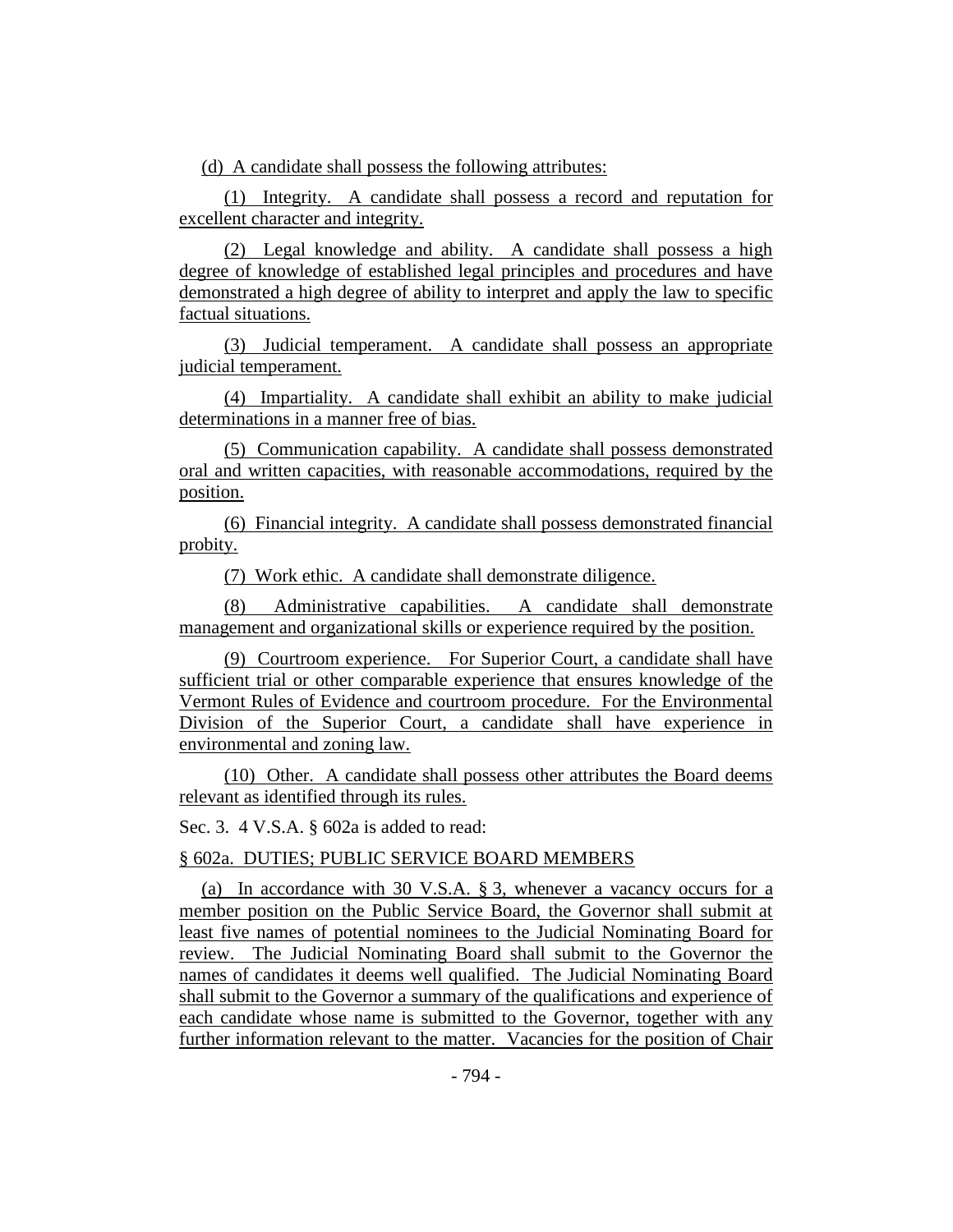(d) A candidate shall possess the following attributes:

(1) Integrity. A candidate shall possess a record and reputation for excellent character and integrity.

(2) Legal knowledge and ability. A candidate shall possess a high degree of knowledge of established legal principles and procedures and have demonstrated a high degree of ability to interpret and apply the law to specific factual situations.

(3) Judicial temperament. A candidate shall possess an appropriate judicial temperament.

(4) Impartiality. A candidate shall exhibit an ability to make judicial determinations in a manner free of bias.

(5) Communication capability. A candidate shall possess demonstrated oral and written capacities, with reasonable accommodations, required by the position.

(6) Financial integrity. A candidate shall possess demonstrated financial probity.

(7) Work ethic. A candidate shall demonstrate diligence.

(8) Administrative capabilities. A candidate shall demonstrate management and organizational skills or experience required by the position.

(9) Courtroom experience. For Superior Court, a candidate shall have sufficient trial or other comparable experience that ensures knowledge of the Vermont Rules of Evidence and courtroom procedure. For the Environmental Division of the Superior Court, a candidate shall have experience in environmental and zoning law.

(10) Other. A candidate shall possess other attributes the Board deems relevant as identified through its rules.

Sec. 3. 4 V.S.A. § 602a is added to read:

§ 602a. DUTIES; PUBLIC SERVICE BOARD MEMBERS

(a) In accordance with 30 V.S.A. § 3, whenever a vacancy occurs for a member position on the Public Service Board, the Governor shall submit at least five names of potential nominees to the Judicial Nominating Board for review. The Judicial Nominating Board shall submit to the Governor the names of candidates it deems well qualified. The Judicial Nominating Board shall submit to the Governor a summary of the qualifications and experience of each candidate whose name is submitted to the Governor, together with any further information relevant to the matter. Vacancies for the position of Chair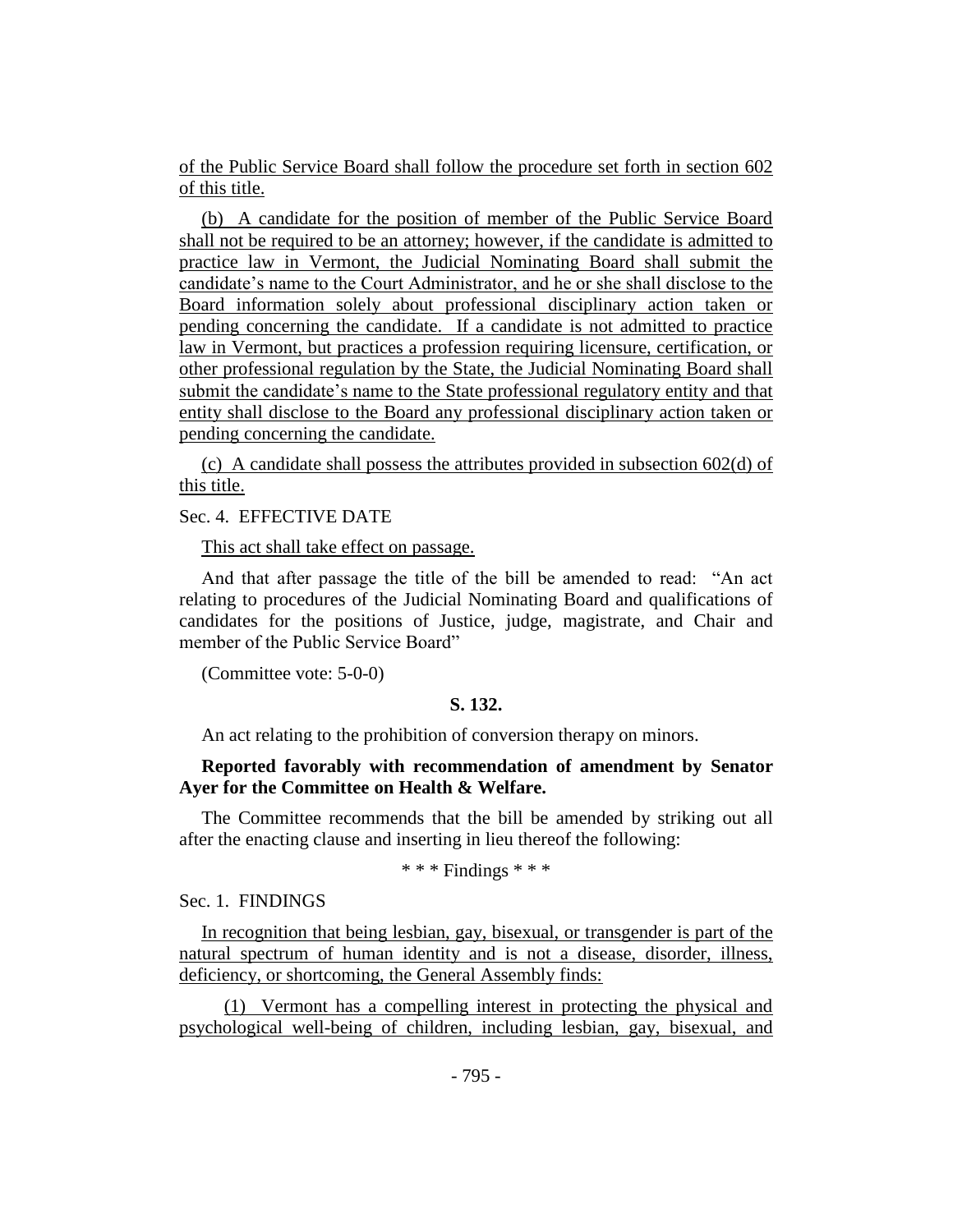of the Public Service Board shall follow the procedure set forth in section 602 of this title.

(b) A candidate for the position of member of the Public Service Board shall not be required to be an attorney; however, if the candidate is admitted to practice law in Vermont, the Judicial Nominating Board shall submit the candidate's name to the Court Administrator, and he or she shall disclose to the Board information solely about professional disciplinary action taken or pending concerning the candidate. If a candidate is not admitted to practice law in Vermont, but practices a profession requiring licensure, certification, or other professional regulation by the State, the Judicial Nominating Board shall submit the candidate's name to the State professional regulatory entity and that entity shall disclose to the Board any professional disciplinary action taken or pending concerning the candidate.

(c) A candidate shall possess the attributes provided in subsection 602(d) of this title.

## Sec. 4. EFFECTIVE DATE

This act shall take effect on passage.

And that after passage the title of the bill be amended to read: "An act relating to procedures of the Judicial Nominating Board and qualifications of candidates for the positions of Justice, judge, magistrate, and Chair and member of the Public Service Board"

(Committee vote: 5-0-0)

#### **S. 132.**

An act relating to the prohibition of conversion therapy on minors.

## **Reported favorably with recommendation of amendment by Senator Ayer for the Committee on Health & Welfare.**

The Committee recommends that the bill be amended by striking out all after the enacting clause and inserting in lieu thereof the following:

## \* \* \* Findings \* \* \*

Sec. 1. FINDINGS

In recognition that being lesbian, gay, bisexual, or transgender is part of the natural spectrum of human identity and is not a disease, disorder, illness, deficiency, or shortcoming, the General Assembly finds:

(1) Vermont has a compelling interest in protecting the physical and psychological well-being of children, including lesbian, gay, bisexual, and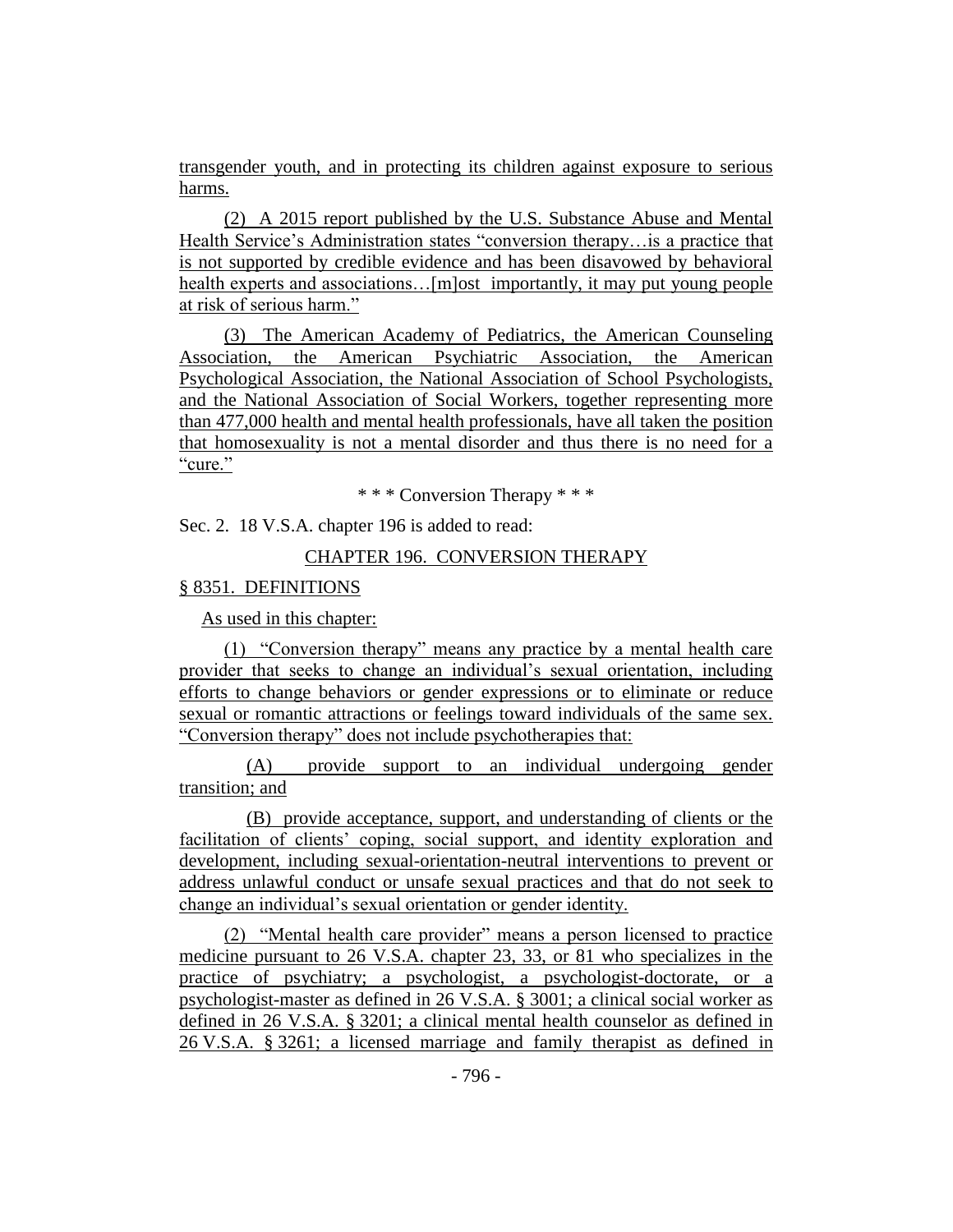transgender youth, and in protecting its children against exposure to serious harms.

(2) A 2015 report published by the U.S. Substance Abuse and Mental Health Service's Administration states "conversion therapy…is a practice that is not supported by credible evidence and has been disavowed by behavioral health experts and associations...[m]ost importantly, it may put young people at risk of serious harm."

(3) The American Academy of Pediatrics, the American Counseling Association, the American Psychiatric Association, the American Psychological Association, the National Association of School Psychologists, and the National Association of Social Workers, together representing more than 477,000 health and mental health professionals, have all taken the position that homosexuality is not a mental disorder and thus there is no need for a "cure."

\* \* \* Conversion Therapy \* \* \*

Sec. 2. 18 V.S.A. chapter 196 is added to read:

## CHAPTER 196. CONVERSION THERAPY

#### § 8351. DEFINITIONS

As used in this chapter:

(1) "Conversion therapy" means any practice by a mental health care provider that seeks to change an individual's sexual orientation, including efforts to change behaviors or gender expressions or to eliminate or reduce sexual or romantic attractions or feelings toward individuals of the same sex. "Conversion therapy" does not include psychotherapies that:

(A) provide support to an individual undergoing gender transition; and

(B) provide acceptance, support, and understanding of clients or the facilitation of clients' coping, social support, and identity exploration and development, including sexual-orientation-neutral interventions to prevent or address unlawful conduct or unsafe sexual practices and that do not seek to change an individual's sexual orientation or gender identity.

(2) "Mental health care provider" means a person licensed to practice medicine pursuant to 26 V.S.A. chapter 23, 33, or 81 who specializes in the practice of psychiatry; a psychologist, a psychologist-doctorate, or a psychologist-master as defined in 26 V.S.A. § 3001; a clinical social worker as defined in 26 V.S.A. § 3201; a clinical mental health counselor as defined in 26 V.S.A. § 3261; a licensed marriage and family therapist as defined in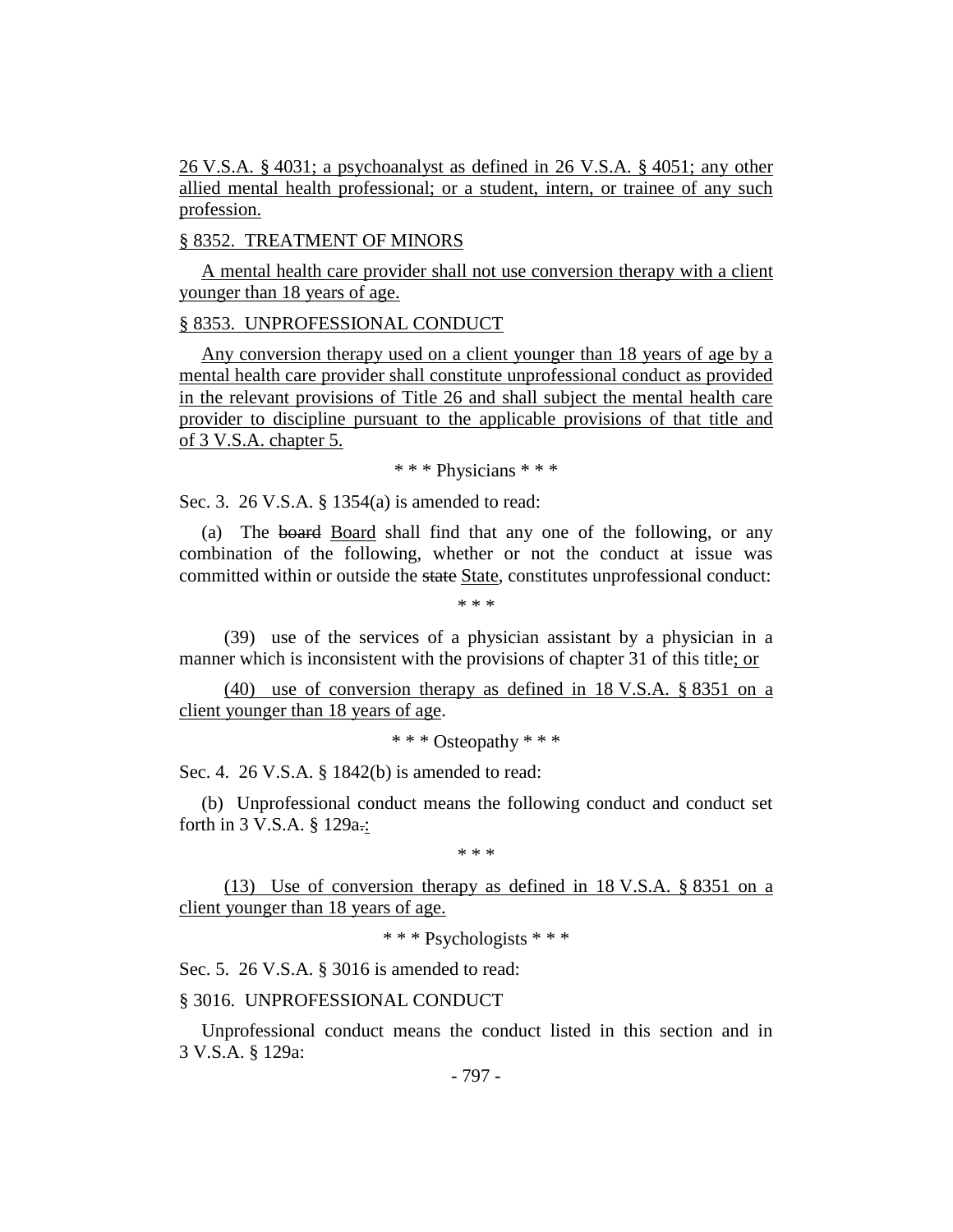26 V.S.A. § 4031; a psychoanalyst as defined in 26 V.S.A. § 4051; any other allied mental health professional; or a student, intern, or trainee of any such profession.

#### § 8352. TREATMENT OF MINORS

A mental health care provider shall not use conversion therapy with a client younger than 18 years of age.

#### § 8353. UNPROFESSIONAL CONDUCT

Any conversion therapy used on a client younger than 18 years of age by a mental health care provider shall constitute unprofessional conduct as provided in the relevant provisions of Title 26 and shall subject the mental health care provider to discipline pursuant to the applicable provisions of that title and of 3 V.S.A. chapter 5.

\* \* \* Physicians \* \* \*

Sec. 3. 26 V.S.A. § 1354(a) is amended to read:

(a) The board Board shall find that any one of the following, or any combination of the following, whether or not the conduct at issue was committed within or outside the state State, constitutes unprofessional conduct:

\* \* \*

(39) use of the services of a physician assistant by a physician in a manner which is inconsistent with the provisions of chapter 31 of this title; or

(40) use of conversion therapy as defined in 18 V.S.A. § 8351 on a client younger than 18 years of age.

\* \* \* Osteopathy \* \* \*

Sec. 4. 26 V.S.A. § 1842(b) is amended to read:

(b) Unprofessional conduct means the following conduct and conduct set forth in 3 V.S.A. § 129a.:

\* \* \*

(13) Use of conversion therapy as defined in 18 V.S.A. § 8351 on a client younger than 18 years of age.

\* \* \* Psychologists \* \* \*

Sec. 5. 26 V.S.A. § 3016 is amended to read:

## § 3016. UNPROFESSIONAL CONDUCT

Unprofessional conduct means the conduct listed in this section and in 3 V.S.A. § 129a: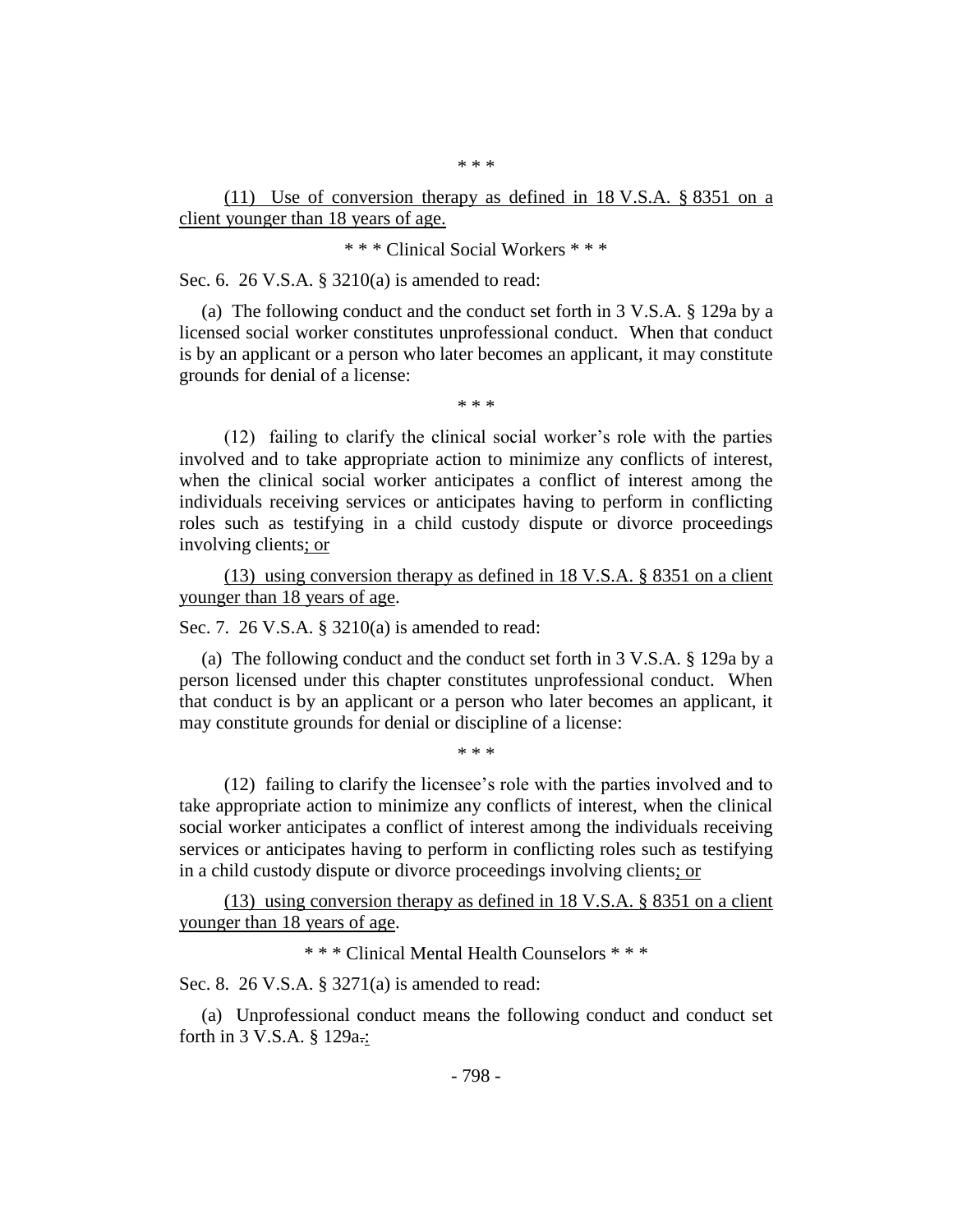\* \* \*

(11) Use of conversion therapy as defined in 18 V.S.A. § 8351 on a client younger than 18 years of age.

\* \* \* Clinical Social Workers \* \* \*

Sec. 6. 26 V.S.A. § 3210(a) is amended to read:

(a) The following conduct and the conduct set forth in 3 V.S.A. § 129a by a licensed social worker constitutes unprofessional conduct. When that conduct is by an applicant or a person who later becomes an applicant, it may constitute grounds for denial of a license:

\* \* \*

(12) failing to clarify the clinical social worker's role with the parties involved and to take appropriate action to minimize any conflicts of interest, when the clinical social worker anticipates a conflict of interest among the individuals receiving services or anticipates having to perform in conflicting roles such as testifying in a child custody dispute or divorce proceedings involving clients; or

(13) using conversion therapy as defined in 18 V.S.A. § 8351 on a client younger than 18 years of age.

Sec. 7. 26 V.S.A. § 3210(a) is amended to read:

(a) The following conduct and the conduct set forth in 3 V.S.A. § 129a by a person licensed under this chapter constitutes unprofessional conduct. When that conduct is by an applicant or a person who later becomes an applicant, it may constitute grounds for denial or discipline of a license:

\* \* \*

(12) failing to clarify the licensee's role with the parties involved and to take appropriate action to minimize any conflicts of interest, when the clinical social worker anticipates a conflict of interest among the individuals receiving services or anticipates having to perform in conflicting roles such as testifying in a child custody dispute or divorce proceedings involving clients; or

(13) using conversion therapy as defined in 18 V.S.A. § 8351 on a client younger than 18 years of age.

\* \* \* Clinical Mental Health Counselors \* \* \*

Sec. 8. 26 V.S.A. § 3271(a) is amended to read:

(a) Unprofessional conduct means the following conduct and conduct set forth in 3 V.S.A. § 129a.: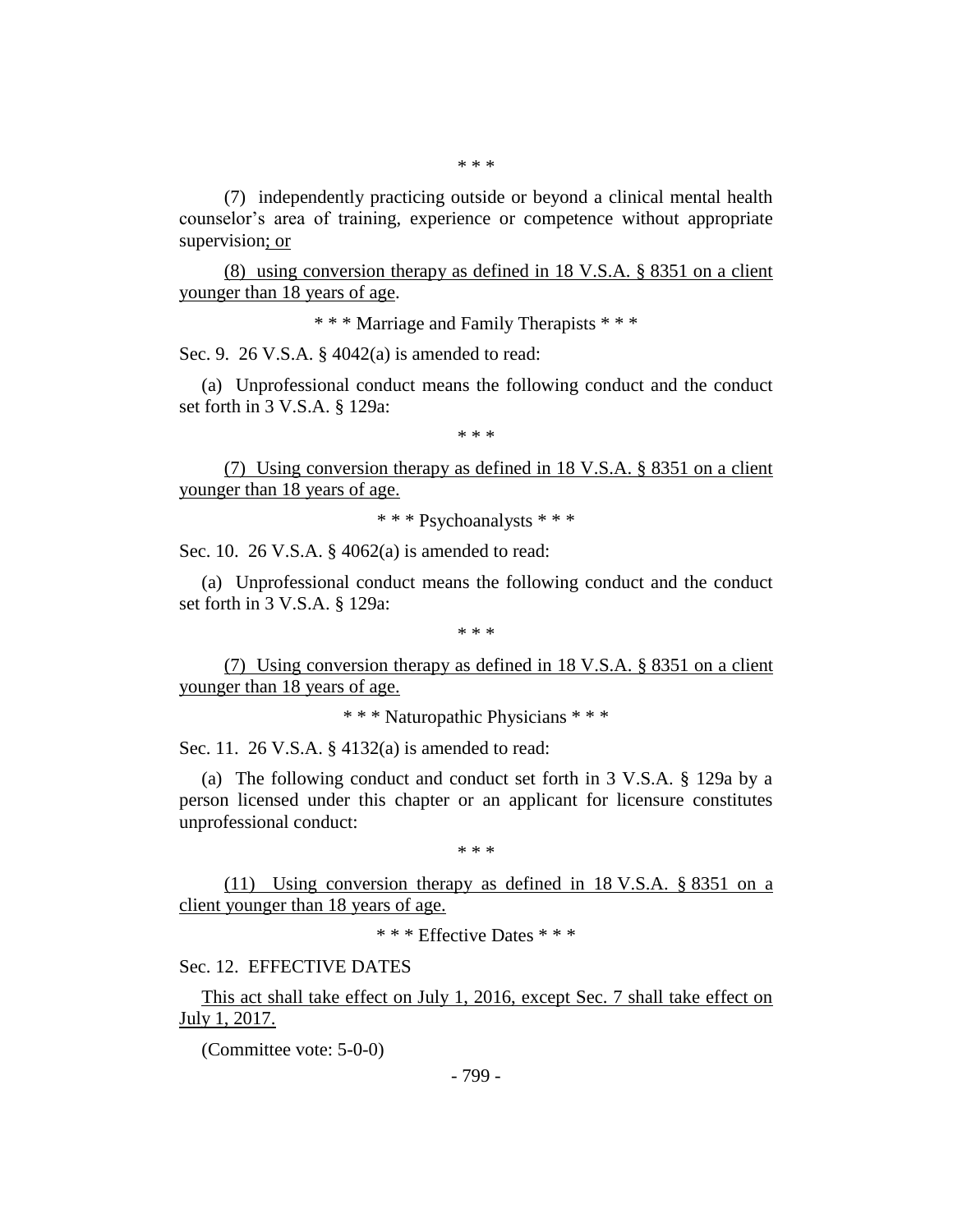(7) independently practicing outside or beyond a clinical mental health counselor's area of training, experience or competence without appropriate supervision; or

(8) using conversion therapy as defined in 18 V.S.A. § 8351 on a client younger than 18 years of age.

\* \* \* Marriage and Family Therapists \* \* \*

Sec. 9. 26 V.S.A. § 4042(a) is amended to read:

(a) Unprofessional conduct means the following conduct and the conduct set forth in 3 V.S.A. § 129a:

\* \* \*

(7) Using conversion therapy as defined in 18 V.S.A. § 8351 on a client younger than 18 years of age.

\* \* \* Psychoanalysts \* \* \*

Sec. 10. 26 V.S.A. § 4062(a) is amended to read:

(a) Unprofessional conduct means the following conduct and the conduct set forth in 3 V.S.A. § 129a:

\* \* \*

(7) Using conversion therapy as defined in 18 V.S.A. § 8351 on a client younger than 18 years of age.

\* \* \* Naturopathic Physicians \* \* \*

Sec. 11. 26 V.S.A. § 4132(a) is amended to read:

(a) The following conduct and conduct set forth in 3 V.S.A. § 129a by a person licensed under this chapter or an applicant for licensure constitutes unprofessional conduct:

\* \* \*

(11) Using conversion therapy as defined in 18 V.S.A. § 8351 on a client younger than 18 years of age.

\* \* \* Effective Dates \* \* \*

## Sec. 12. EFFECTIVE DATES

This act shall take effect on July 1, 2016, except Sec. 7 shall take effect on July 1, 2017.

(Committee vote: 5-0-0)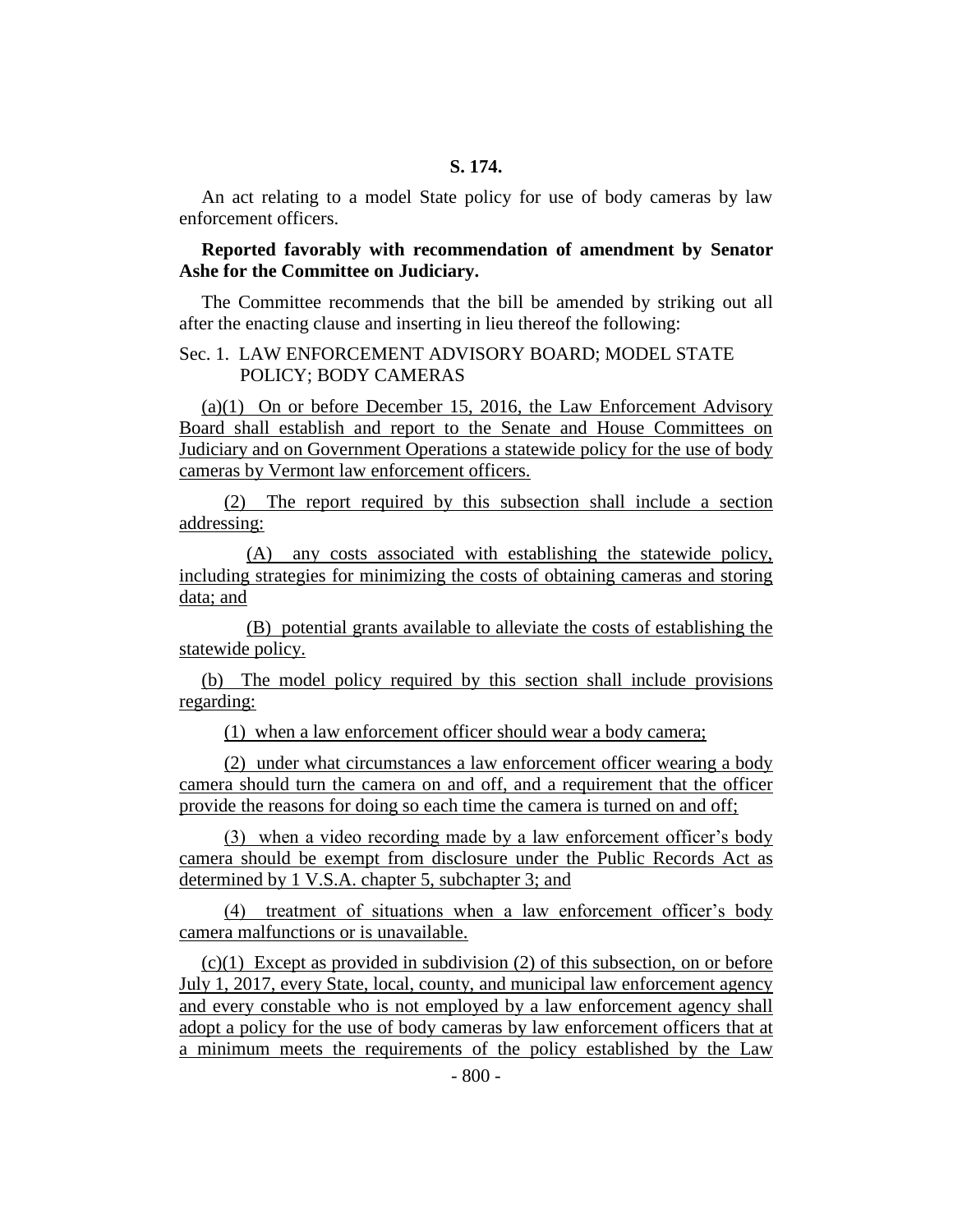An act relating to a model State policy for use of body cameras by law enforcement officers.

## **Reported favorably with recommendation of amendment by Senator Ashe for the Committee on Judiciary.**

The Committee recommends that the bill be amended by striking out all after the enacting clause and inserting in lieu thereof the following:

## Sec. 1. LAW ENFORCEMENT ADVISORY BOARD; MODEL STATE POLICY; BODY CAMERAS

(a)(1) On or before December 15, 2016, the Law Enforcement Advisory Board shall establish and report to the Senate and House Committees on Judiciary and on Government Operations a statewide policy for the use of body cameras by Vermont law enforcement officers.

(2) The report required by this subsection shall include a section addressing:

(A) any costs associated with establishing the statewide policy, including strategies for minimizing the costs of obtaining cameras and storing data; and

(B) potential grants available to alleviate the costs of establishing the statewide policy.

(b) The model policy required by this section shall include provisions regarding:

(1) when a law enforcement officer should wear a body camera;

(2) under what circumstances a law enforcement officer wearing a body camera should turn the camera on and off, and a requirement that the officer provide the reasons for doing so each time the camera is turned on and off;

(3) when a video recording made by a law enforcement officer's body camera should be exempt from disclosure under the Public Records Act as determined by 1 V.S.A. chapter 5, subchapter 3; and

(4) treatment of situations when a law enforcement officer's body camera malfunctions or is unavailable.

(c)(1) Except as provided in subdivision (2) of this subsection, on or before July 1, 2017, every State, local, county, and municipal law enforcement agency and every constable who is not employed by a law enforcement agency shall adopt a policy for the use of body cameras by law enforcement officers that at a minimum meets the requirements of the policy established by the Law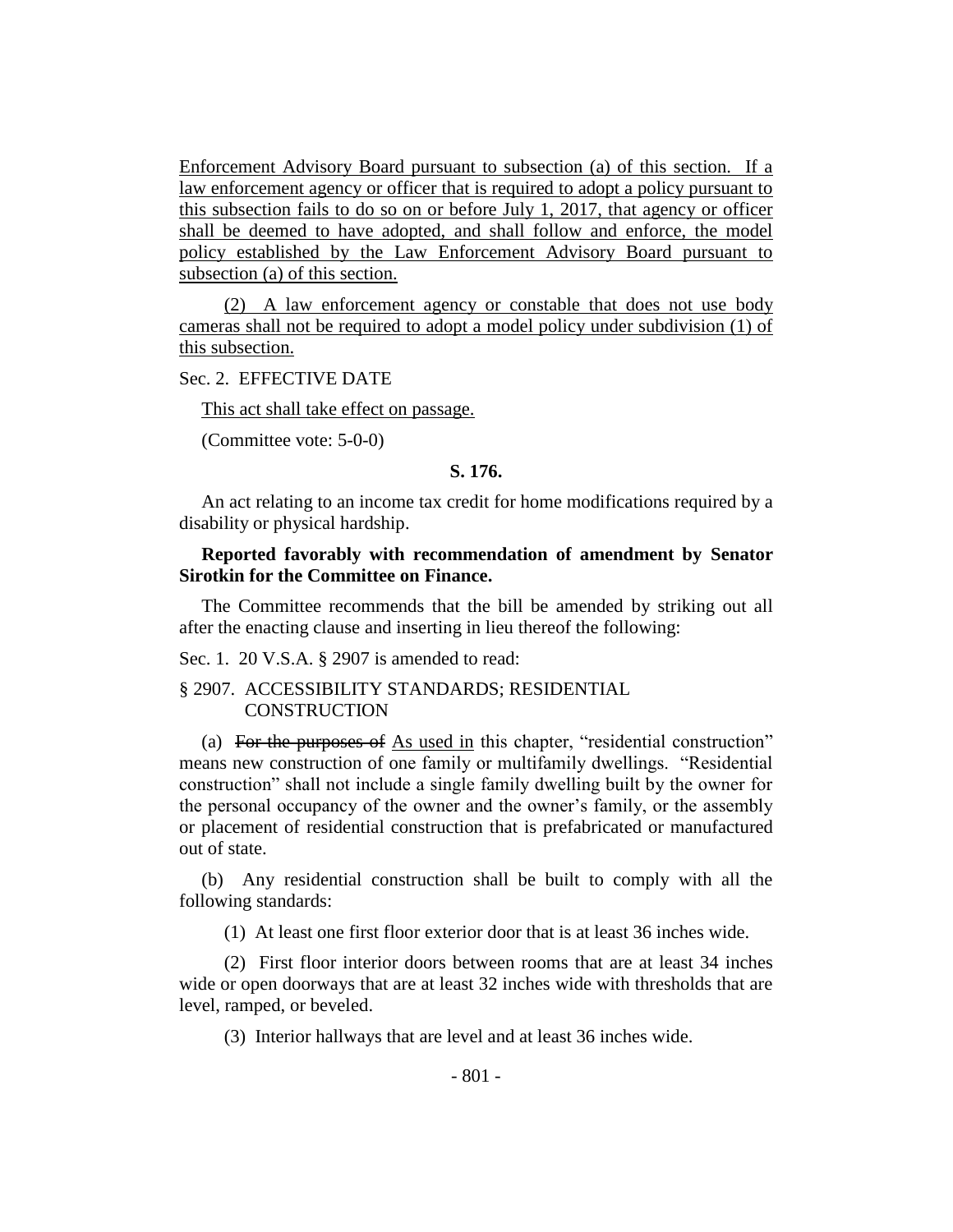Enforcement Advisory Board pursuant to subsection (a) of this section. If a law enforcement agency or officer that is required to adopt a policy pursuant to this subsection fails to do so on or before July 1, 2017, that agency or officer shall be deemed to have adopted, and shall follow and enforce, the model policy established by the Law Enforcement Advisory Board pursuant to subsection (a) of this section.

(2) A law enforcement agency or constable that does not use body cameras shall not be required to adopt a model policy under subdivision (1) of this subsection.

Sec. 2. EFFECTIVE DATE

This act shall take effect on passage.

(Committee vote: 5-0-0)

## **S. 176.**

An act relating to an income tax credit for home modifications required by a disability or physical hardship.

#### **Reported favorably with recommendation of amendment by Senator Sirotkin for the Committee on Finance.**

The Committee recommends that the bill be amended by striking out all after the enacting clause and inserting in lieu thereof the following:

Sec. 1. 20 V.S.A. § 2907 is amended to read:

#### § 2907. ACCESSIBILITY STANDARDS; RESIDENTIAL **CONSTRUCTION**

(a) For the purposes of As used in this chapter, "residential construction" means new construction of one family or multifamily dwellings. "Residential construction" shall not include a single family dwelling built by the owner for the personal occupancy of the owner and the owner's family, or the assembly or placement of residential construction that is prefabricated or manufactured out of state.

(b) Any residential construction shall be built to comply with all the following standards:

(1) At least one first floor exterior door that is at least 36 inches wide.

(2) First floor interior doors between rooms that are at least 34 inches wide or open doorways that are at least 32 inches wide with thresholds that are level, ramped, or beveled.

(3) Interior hallways that are level and at least 36 inches wide.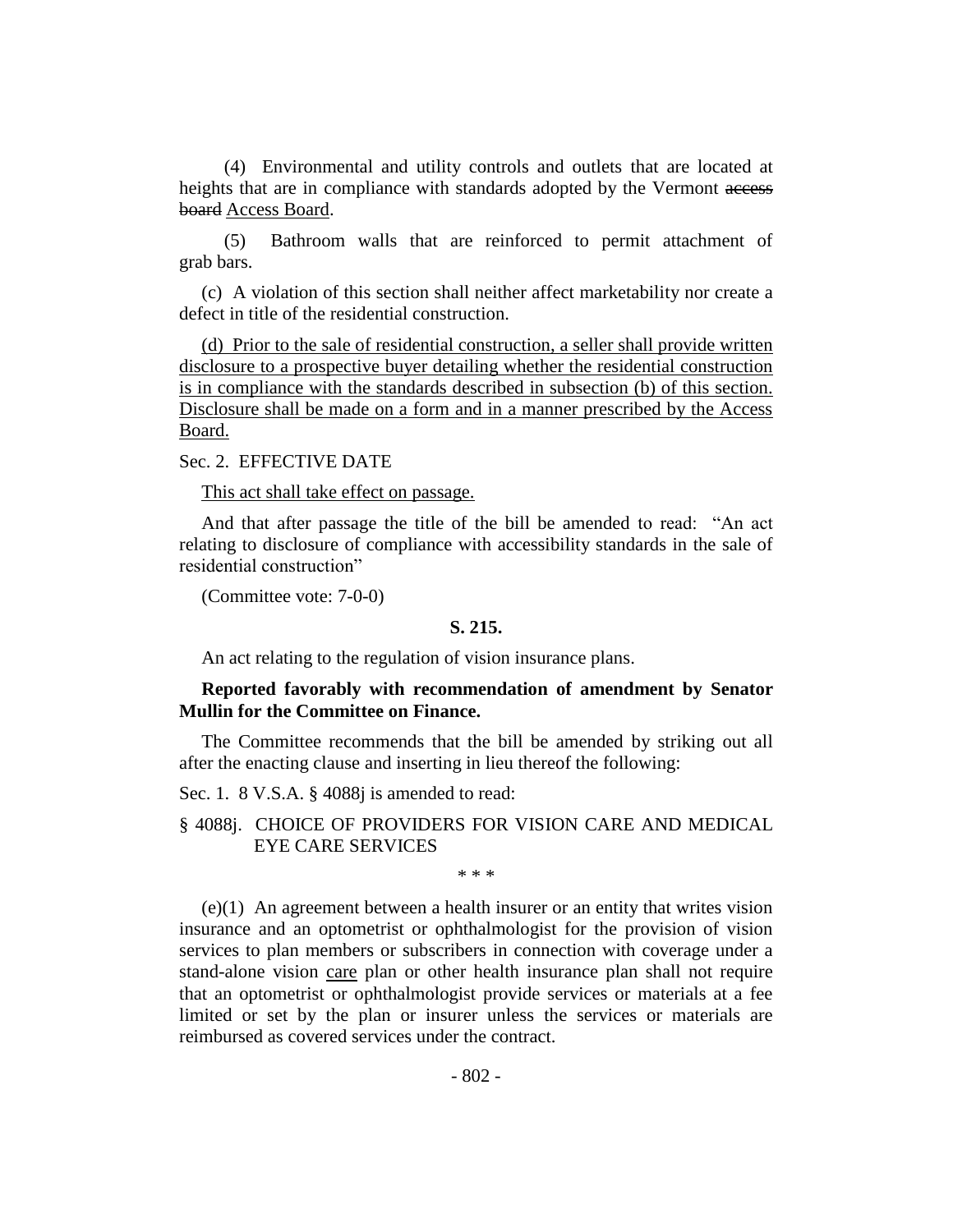(4) Environmental and utility controls and outlets that are located at heights that are in compliance with standards adopted by the Vermont access board Access Board.

(5) Bathroom walls that are reinforced to permit attachment of grab bars.

(c) A violation of this section shall neither affect marketability nor create a defect in title of the residential construction.

(d) Prior to the sale of residential construction, a seller shall provide written disclosure to a prospective buyer detailing whether the residential construction is in compliance with the standards described in subsection (b) of this section. Disclosure shall be made on a form and in a manner prescribed by the Access Board.

## Sec. 2. EFFECTIVE DATE

This act shall take effect on passage.

And that after passage the title of the bill be amended to read: "An act relating to disclosure of compliance with accessibility standards in the sale of residential construction"

(Committee vote: 7-0-0)

#### **S. 215.**

An act relating to the regulation of vision insurance plans.

#### **Reported favorably with recommendation of amendment by Senator Mullin for the Committee on Finance.**

The Committee recommends that the bill be amended by striking out all after the enacting clause and inserting in lieu thereof the following:

Sec. 1. 8 V.S.A. § 4088j is amended to read:

§ 4088j. CHOICE OF PROVIDERS FOR VISION CARE AND MEDICAL EYE CARE SERVICES

\* \* \*

(e)(1) An agreement between a health insurer or an entity that writes vision insurance and an optometrist or ophthalmologist for the provision of vision services to plan members or subscribers in connection with coverage under a stand-alone vision care plan or other health insurance plan shall not require that an optometrist or ophthalmologist provide services or materials at a fee limited or set by the plan or insurer unless the services or materials are reimbursed as covered services under the contract.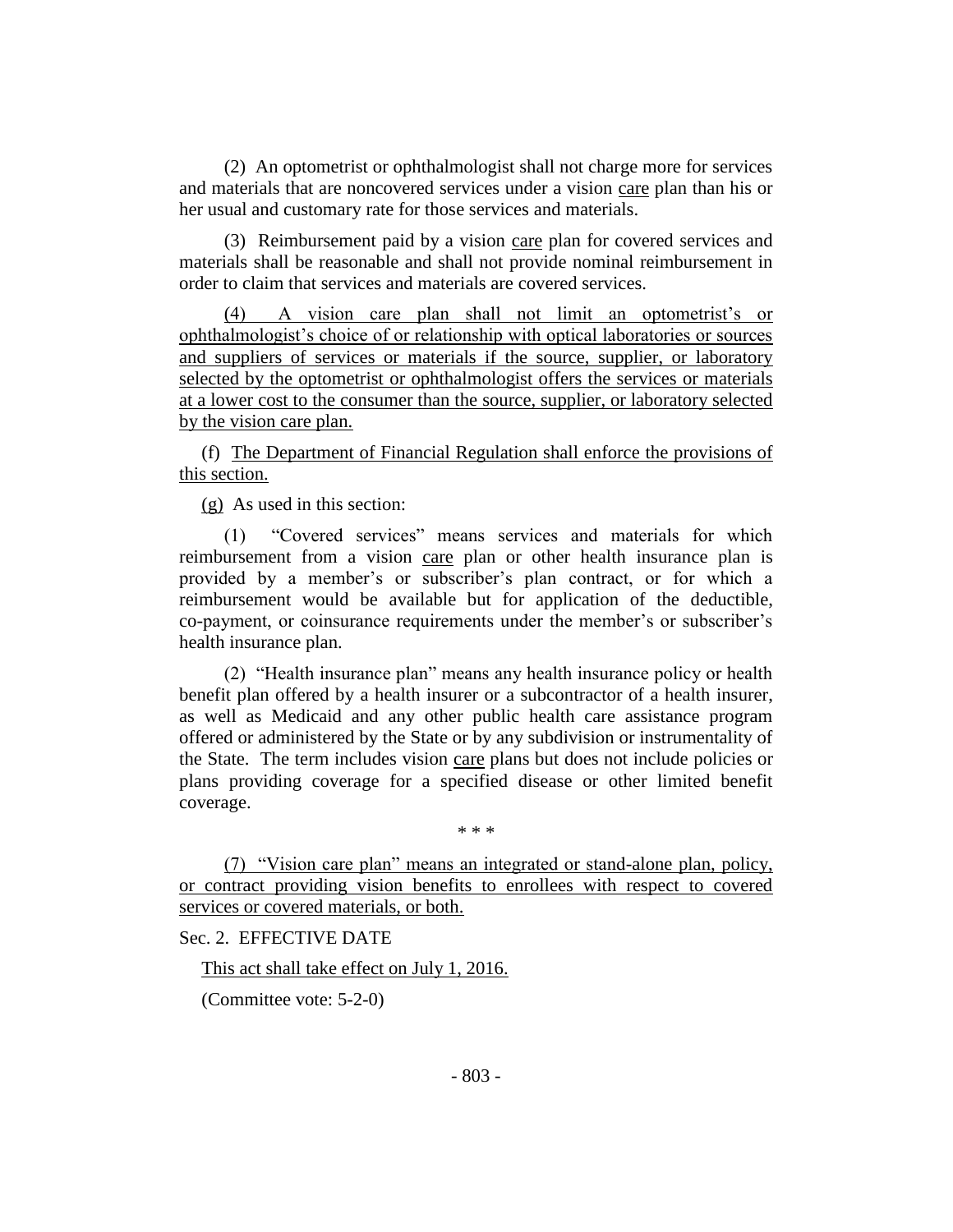(2) An optometrist or ophthalmologist shall not charge more for services and materials that are noncovered services under a vision care plan than his or her usual and customary rate for those services and materials.

(3) Reimbursement paid by a vision care plan for covered services and materials shall be reasonable and shall not provide nominal reimbursement in order to claim that services and materials are covered services.

(4) A vision care plan shall not limit an optometrist's or ophthalmologist's choice of or relationship with optical laboratories or sources and suppliers of services or materials if the source, supplier, or laboratory selected by the optometrist or ophthalmologist offers the services or materials at a lower cost to the consumer than the source, supplier, or laboratory selected by the vision care plan.

(f) The Department of Financial Regulation shall enforce the provisions of this section.

(g) As used in this section:

(1) "Covered services" means services and materials for which reimbursement from a vision care plan or other health insurance plan is provided by a member's or subscriber's plan contract, or for which a reimbursement would be available but for application of the deductible, co-payment, or coinsurance requirements under the member's or subscriber's health insurance plan.

(2) "Health insurance plan" means any health insurance policy or health benefit plan offered by a health insurer or a subcontractor of a health insurer, as well as Medicaid and any other public health care assistance program offered or administered by the State or by any subdivision or instrumentality of the State. The term includes vision care plans but does not include policies or plans providing coverage for a specified disease or other limited benefit coverage.

\* \* \*

(7) "Vision care plan" means an integrated or stand-alone plan, policy, or contract providing vision benefits to enrollees with respect to covered services or covered materials, or both.

Sec. 2. EFFECTIVE DATE

This act shall take effect on July 1, 2016.

(Committee vote: 5-2-0)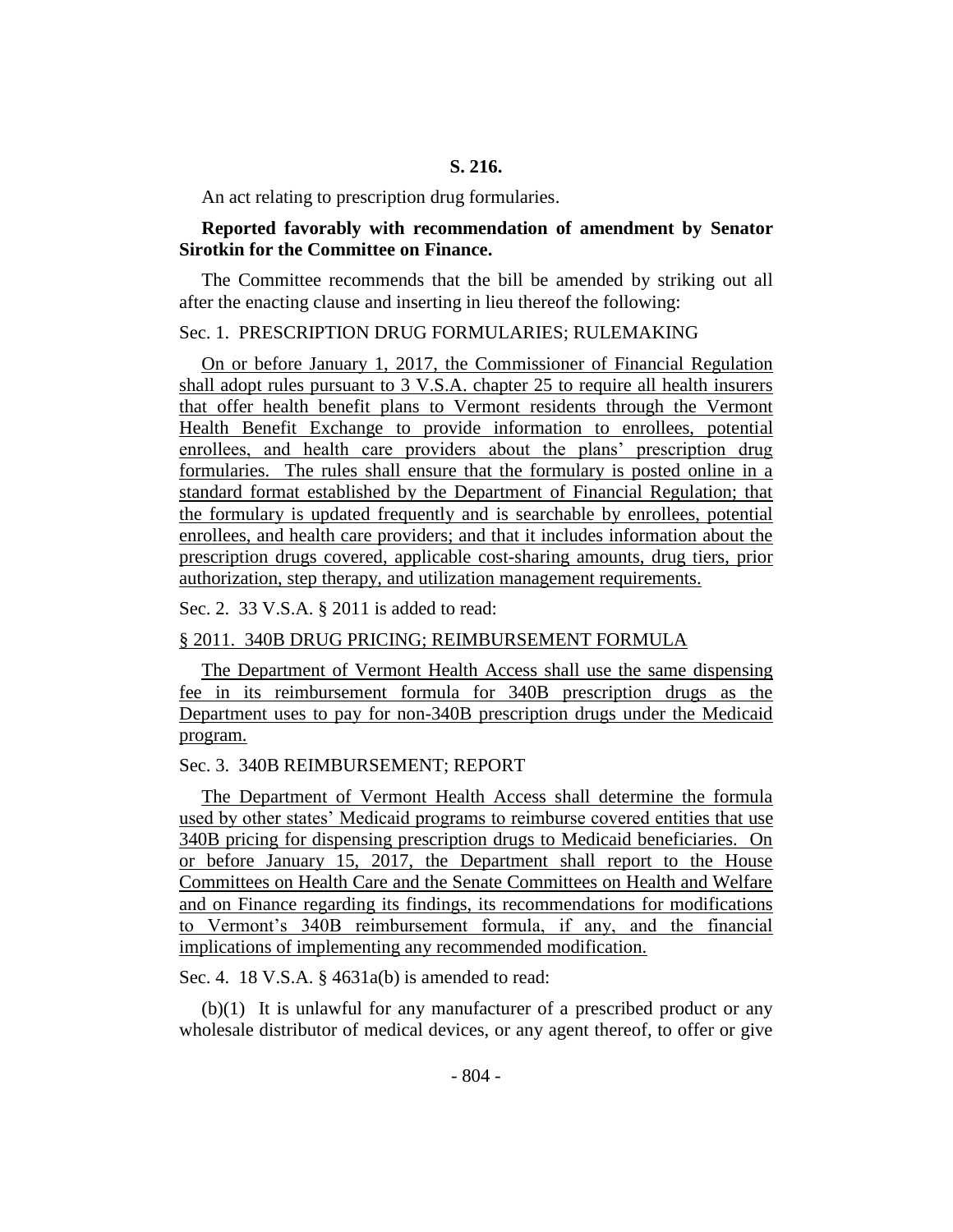An act relating to prescription drug formularies.

#### **Reported favorably with recommendation of amendment by Senator Sirotkin for the Committee on Finance.**

The Committee recommends that the bill be amended by striking out all after the enacting clause and inserting in lieu thereof the following:

#### Sec. 1. PRESCRIPTION DRUG FORMULARIES; RULEMAKING

On or before January 1, 2017, the Commissioner of Financial Regulation shall adopt rules pursuant to 3 V.S.A. chapter 25 to require all health insurers that offer health benefit plans to Vermont residents through the Vermont Health Benefit Exchange to provide information to enrollees, potential enrollees, and health care providers about the plans' prescription drug formularies. The rules shall ensure that the formulary is posted online in a standard format established by the Department of Financial Regulation; that the formulary is updated frequently and is searchable by enrollees, potential enrollees, and health care providers; and that it includes information about the prescription drugs covered, applicable cost-sharing amounts, drug tiers, prior authorization, step therapy, and utilization management requirements.

Sec. 2. 33 V.S.A. § 2011 is added to read:

#### § 2011. 340B DRUG PRICING; REIMBURSEMENT FORMULA

The Department of Vermont Health Access shall use the same dispensing fee in its reimbursement formula for 340B prescription drugs as the Department uses to pay for non-340B prescription drugs under the Medicaid program.

#### Sec. 3. 340B REIMBURSEMENT; REPORT

The Department of Vermont Health Access shall determine the formula used by other states' Medicaid programs to reimburse covered entities that use 340B pricing for dispensing prescription drugs to Medicaid beneficiaries. On or before January 15, 2017, the Department shall report to the House Committees on Health Care and the Senate Committees on Health and Welfare and on Finance regarding its findings, its recommendations for modifications to Vermont's 340B reimbursement formula, if any, and the financial implications of implementing any recommended modification.

Sec. 4. 18 V.S.A. § 4631a(b) is amended to read:

(b)(1) It is unlawful for any manufacturer of a prescribed product or any wholesale distributor of medical devices, or any agent thereof, to offer or give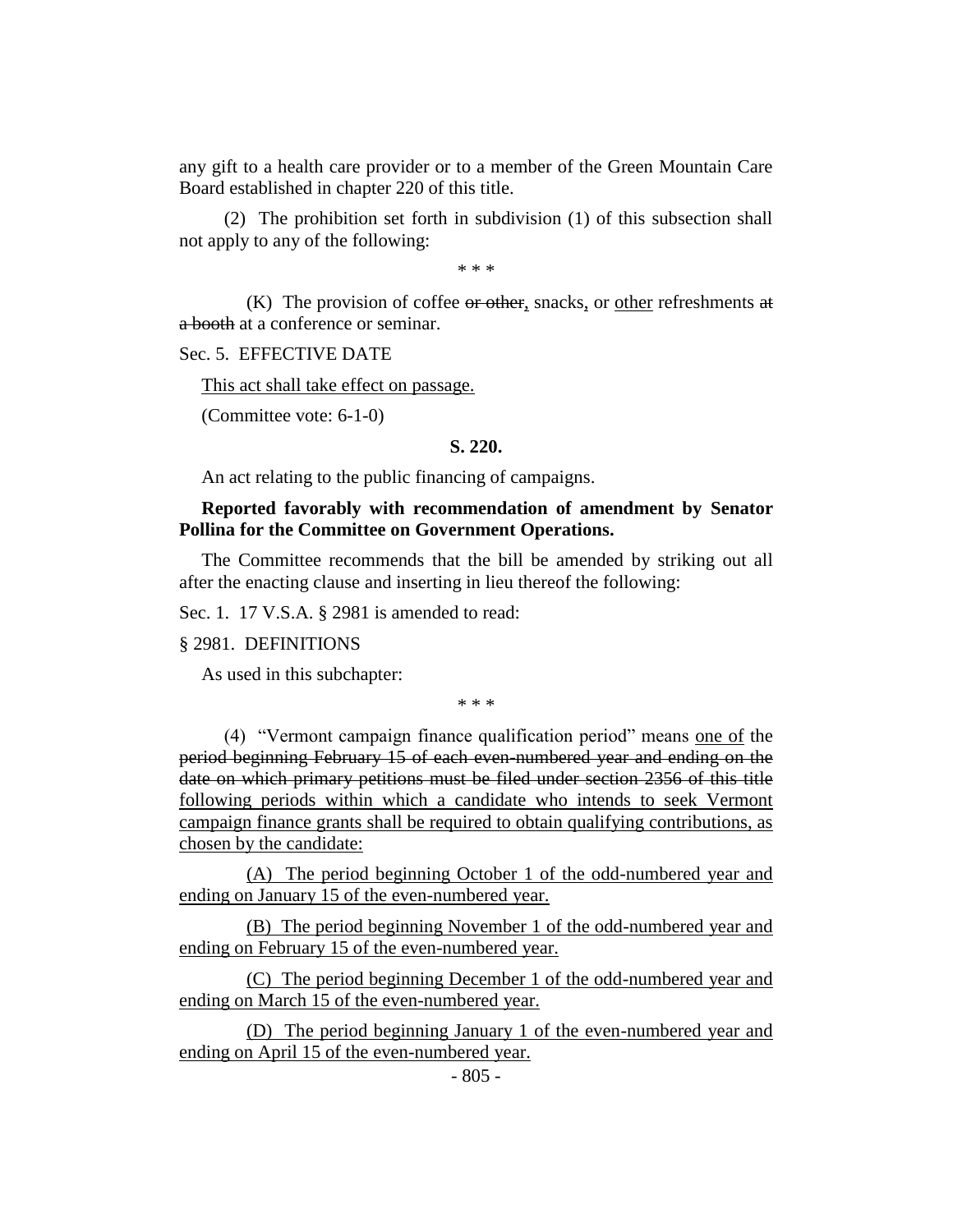any gift to a health care provider or to a member of the Green Mountain Care Board established in chapter 220 of this title.

(2) The prohibition set forth in subdivision (1) of this subsection shall not apply to any of the following:

\* \* \*

 $(K)$  The provision of coffee or other, snacks, or other refreshments at a booth at a conference or seminar.

Sec. 5. EFFECTIVE DATE

This act shall take effect on passage.

(Committee vote: 6-1-0)

#### **S. 220.**

An act relating to the public financing of campaigns.

## **Reported favorably with recommendation of amendment by Senator Pollina for the Committee on Government Operations.**

The Committee recommends that the bill be amended by striking out all after the enacting clause and inserting in lieu thereof the following:

Sec. 1. 17 V.S.A. § 2981 is amended to read:

#### § 2981. DEFINITIONS

As used in this subchapter:

\* \* \*

(4) "Vermont campaign finance qualification period" means one of the period beginning February 15 of each even-numbered year and ending on the date on which primary petitions must be filed under section 2356 of this title following periods within which a candidate who intends to seek Vermont campaign finance grants shall be required to obtain qualifying contributions, as chosen by the candidate:

(A) The period beginning October 1 of the odd-numbered year and ending on January 15 of the even-numbered year.

(B) The period beginning November 1 of the odd-numbered year and ending on February 15 of the even-numbered year.

(C) The period beginning December 1 of the odd-numbered year and ending on March 15 of the even-numbered year.

(D) The period beginning January 1 of the even-numbered year and ending on April 15 of the even-numbered year.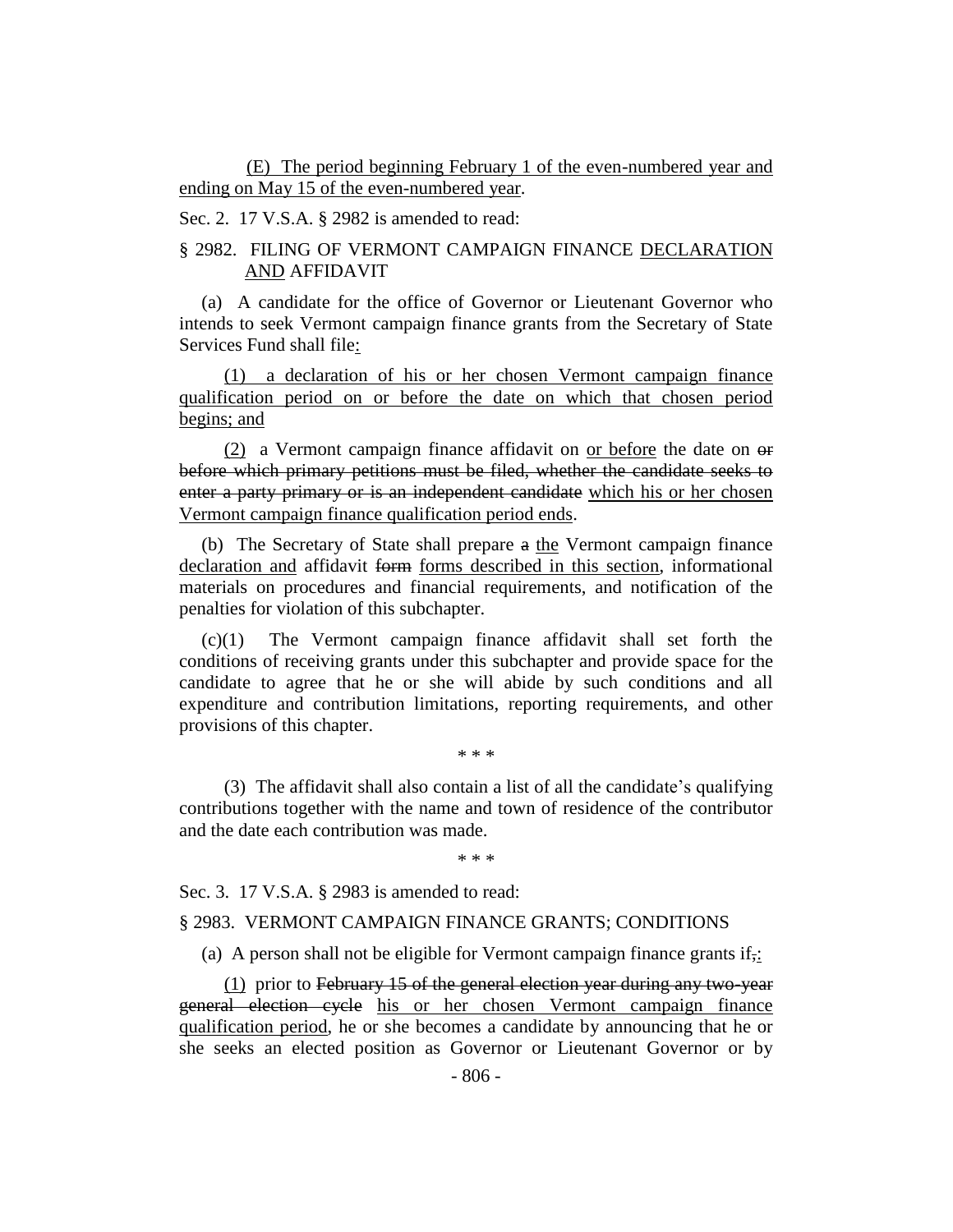(E) The period beginning February 1 of the even-numbered year and ending on May 15 of the even-numbered year.

Sec. 2. 17 V.S.A. § 2982 is amended to read:

## § 2982. FILING OF VERMONT CAMPAIGN FINANCE DECLARATION AND AFFIDAVIT

(a) A candidate for the office of Governor or Lieutenant Governor who intends to seek Vermont campaign finance grants from the Secretary of State Services Fund shall file:

(1) a declaration of his or her chosen Vermont campaign finance qualification period on or before the date on which that chosen period begins; and

(2) a Vermont campaign finance affidavit on or before the date on  $\Theta$ before which primary petitions must be filed, whether the candidate seeks to enter a party primary or is an independent candidate which his or her chosen Vermont campaign finance qualification period ends.

(b) The Secretary of State shall prepare a the Vermont campaign finance declaration and affidavit form forms described in this section, informational materials on procedures and financial requirements, and notification of the penalties for violation of this subchapter.

(c)(1) The Vermont campaign finance affidavit shall set forth the conditions of receiving grants under this subchapter and provide space for the candidate to agree that he or she will abide by such conditions and all expenditure and contribution limitations, reporting requirements, and other provisions of this chapter.

(3) The affidavit shall also contain a list of all the candidate's qualifying contributions together with the name and town of residence of the contributor and the date each contribution was made.

\* \* \*

\* \* \*

Sec. 3. 17 V.S.A. § 2983 is amended to read:

#### § 2983. VERMONT CAMPAIGN FINANCE GRANTS; CONDITIONS

(a) A person shall not be eligible for Vermont campaign finance grants if.

(1) prior to February 15 of the general election year during any two-year general election cycle his or her chosen Vermont campaign finance qualification period, he or she becomes a candidate by announcing that he or she seeks an elected position as Governor or Lieutenant Governor or by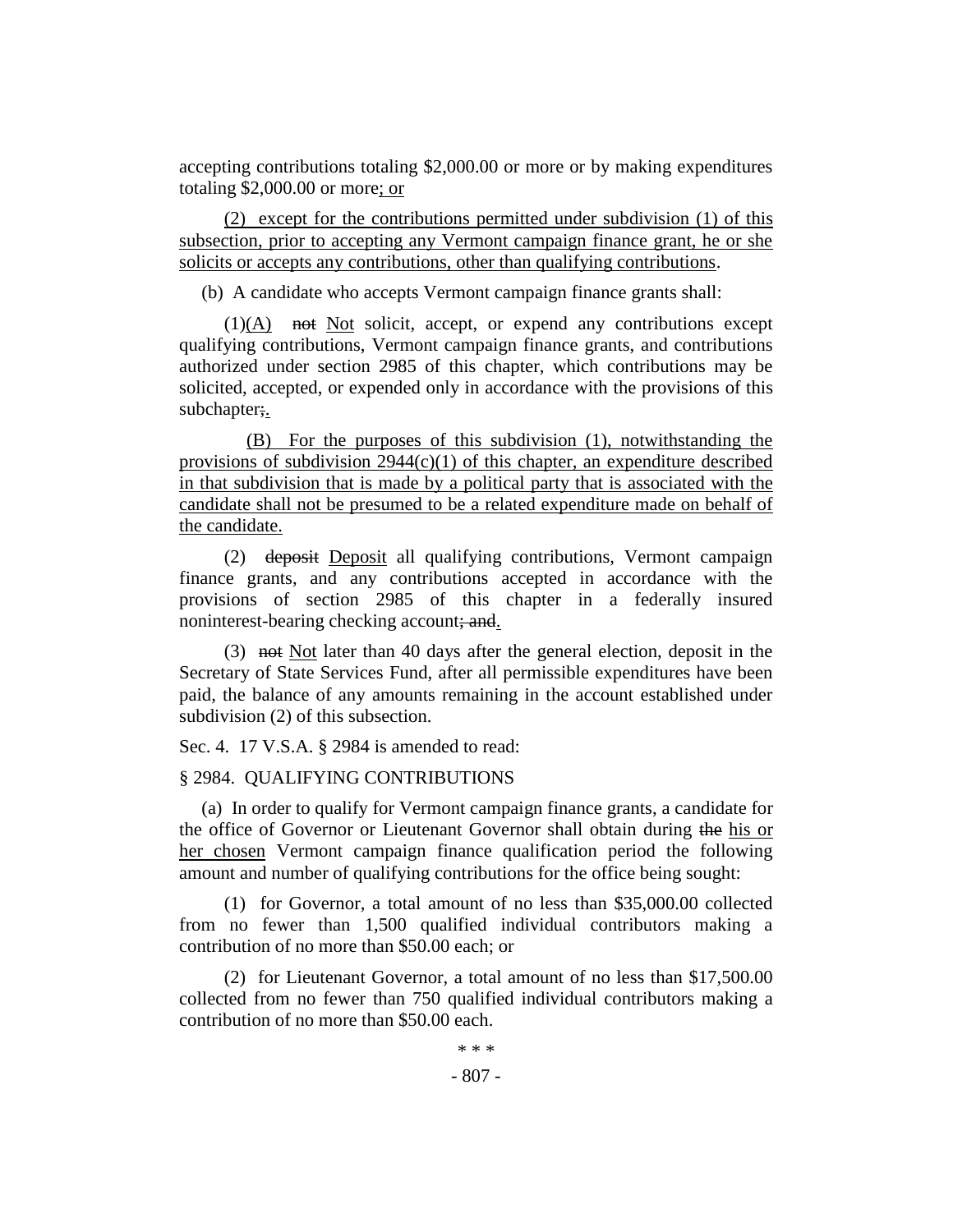accepting contributions totaling \$2,000.00 or more or by making expenditures totaling \$2,000.00 or more; or

(2) except for the contributions permitted under subdivision (1) of this subsection, prior to accepting any Vermont campaign finance grant, he or she solicits or accepts any contributions, other than qualifying contributions.

(b) A candidate who accepts Vermont campaign finance grants shall:

 $(1)(A)$  not Not solicit, accept, or expend any contributions except qualifying contributions, Vermont campaign finance grants, and contributions authorized under section 2985 of this chapter, which contributions may be solicited, accepted, or expended only in accordance with the provisions of this subchapter;

(B) For the purposes of this subdivision (1), notwithstanding the provisions of subdivision  $2944(c)(1)$  of this chapter, an expenditure described in that subdivision that is made by a political party that is associated with the candidate shall not be presumed to be a related expenditure made on behalf of the candidate.

(2) deposit Deposit all qualifying contributions, Vermont campaign finance grants, and any contributions accepted in accordance with the provisions of section 2985 of this chapter in a federally insured noninterest-bearing checking account; and.

(3) not Not later than 40 days after the general election, deposit in the Secretary of State Services Fund, after all permissible expenditures have been paid, the balance of any amounts remaining in the account established under subdivision (2) of this subsection.

Sec. 4. 17 V.S.A. § 2984 is amended to read:

## § 2984. QUALIFYING CONTRIBUTIONS

(a) In order to qualify for Vermont campaign finance grants, a candidate for the office of Governor or Lieutenant Governor shall obtain during the his or her chosen Vermont campaign finance qualification period the following amount and number of qualifying contributions for the office being sought:

(1) for Governor, a total amount of no less than \$35,000.00 collected from no fewer than 1,500 qualified individual contributors making a contribution of no more than \$50.00 each; or

(2) for Lieutenant Governor, a total amount of no less than \$17,500.00 collected from no fewer than 750 qualified individual contributors making a contribution of no more than \$50.00 each.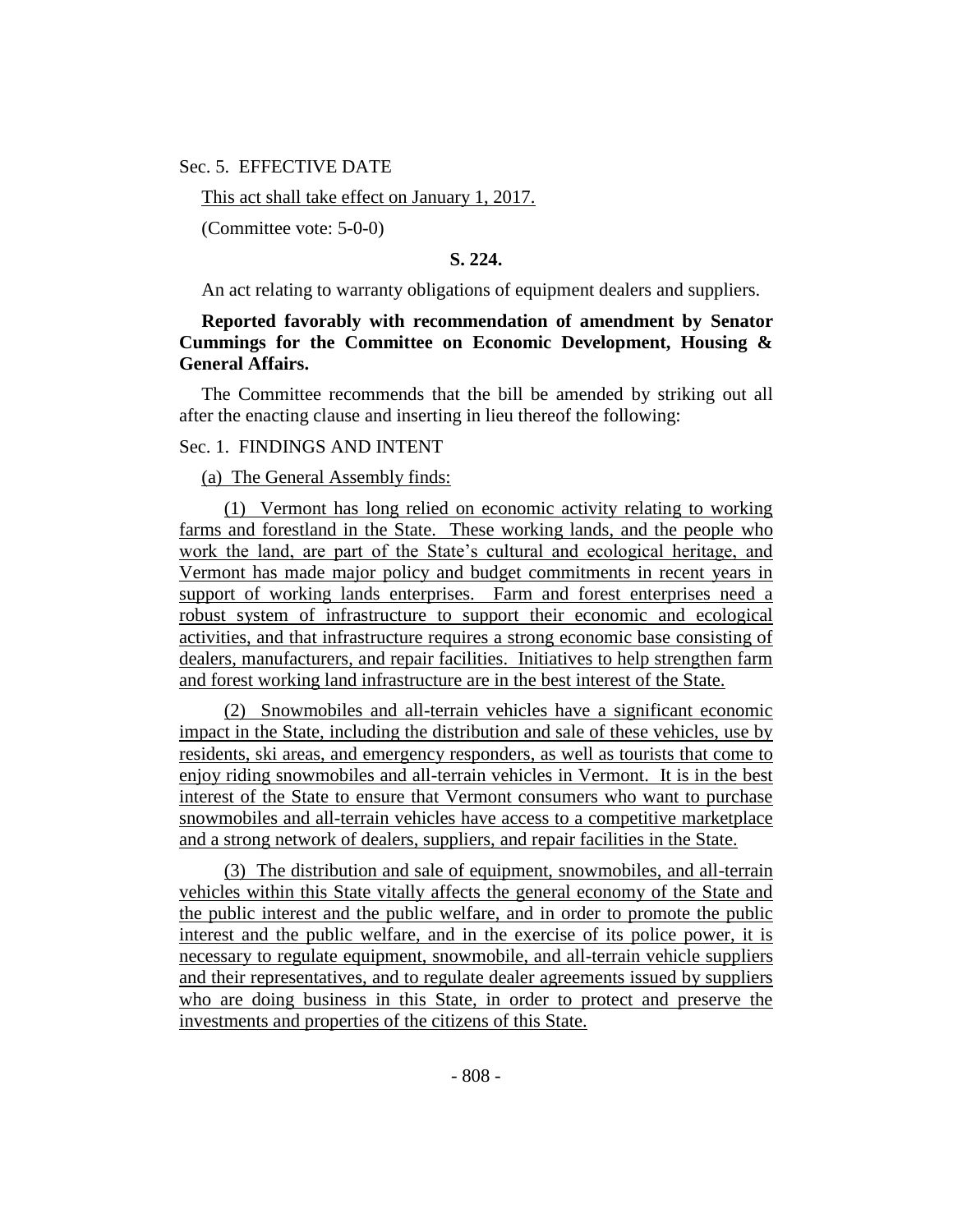#### Sec. 5. EFFECTIVE DATE

This act shall take effect on January 1, 2017.

(Committee vote: 5-0-0)

**S. 224.**

An act relating to warranty obligations of equipment dealers and suppliers.

## **Reported favorably with recommendation of amendment by Senator Cummings for the Committee on Economic Development, Housing & General Affairs.**

The Committee recommends that the bill be amended by striking out all after the enacting clause and inserting in lieu thereof the following:

## Sec. 1. FINDINGS AND INTENT

(a) The General Assembly finds:

(1) Vermont has long relied on economic activity relating to working farms and forestland in the State. These working lands, and the people who work the land, are part of the State's cultural and ecological heritage, and Vermont has made major policy and budget commitments in recent years in support of working lands enterprises. Farm and forest enterprises need a robust system of infrastructure to support their economic and ecological activities, and that infrastructure requires a strong economic base consisting of dealers, manufacturers, and repair facilities. Initiatives to help strengthen farm and forest working land infrastructure are in the best interest of the State.

(2) Snowmobiles and all-terrain vehicles have a significant economic impact in the State, including the distribution and sale of these vehicles, use by residents, ski areas, and emergency responders, as well as tourists that come to enjoy riding snowmobiles and all-terrain vehicles in Vermont. It is in the best interest of the State to ensure that Vermont consumers who want to purchase snowmobiles and all-terrain vehicles have access to a competitive marketplace and a strong network of dealers, suppliers, and repair facilities in the State.

(3) The distribution and sale of equipment, snowmobiles, and all-terrain vehicles within this State vitally affects the general economy of the State and the public interest and the public welfare, and in order to promote the public interest and the public welfare, and in the exercise of its police power, it is necessary to regulate equipment, snowmobile, and all-terrain vehicle suppliers and their representatives, and to regulate dealer agreements issued by suppliers who are doing business in this State, in order to protect and preserve the investments and properties of the citizens of this State.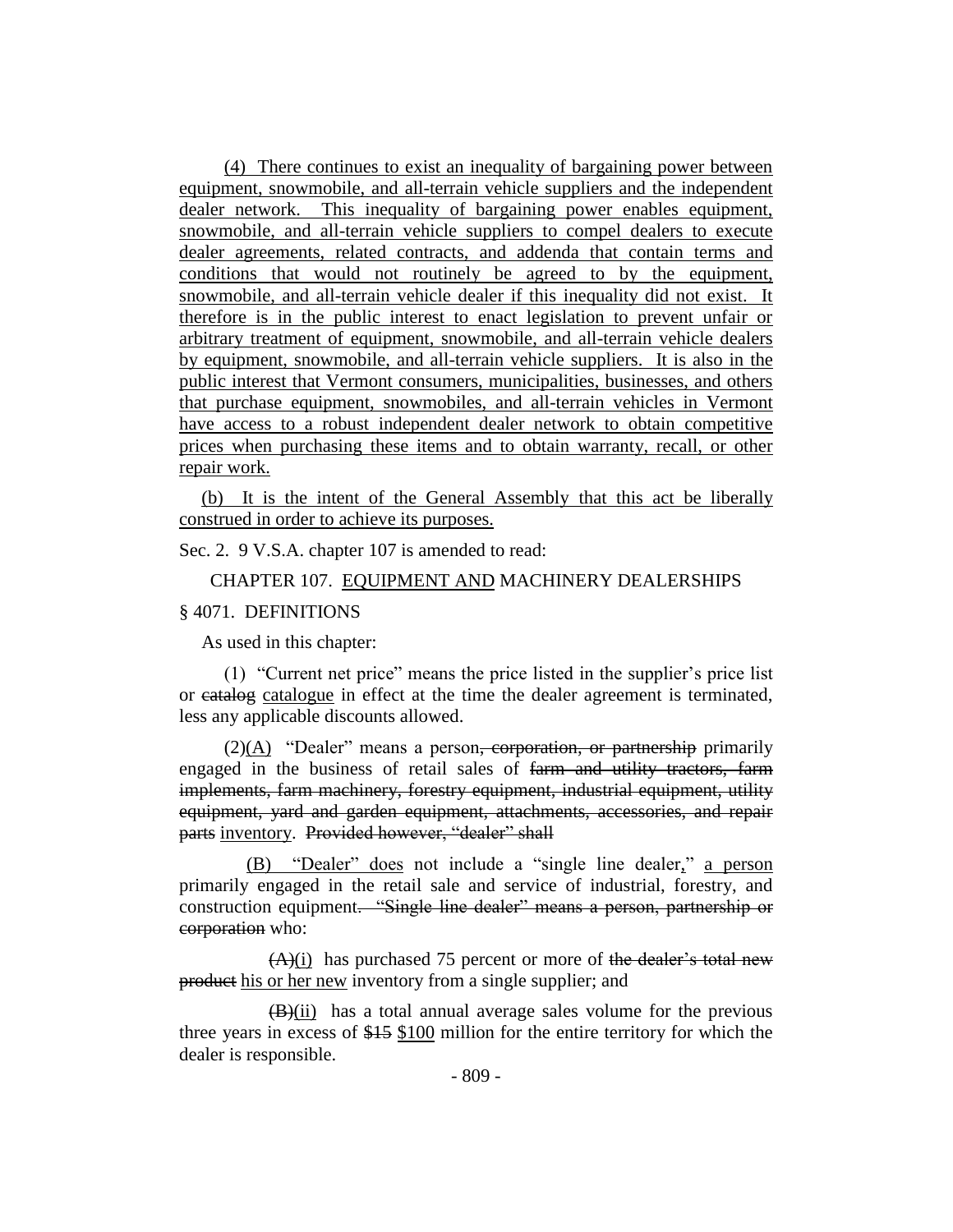(4) There continues to exist an inequality of bargaining power between equipment, snowmobile, and all-terrain vehicle suppliers and the independent dealer network. This inequality of bargaining power enables equipment, snowmobile, and all-terrain vehicle suppliers to compel dealers to execute dealer agreements, related contracts, and addenda that contain terms and conditions that would not routinely be agreed to by the equipment, snowmobile, and all-terrain vehicle dealer if this inequality did not exist. It therefore is in the public interest to enact legislation to prevent unfair or arbitrary treatment of equipment, snowmobile, and all-terrain vehicle dealers by equipment, snowmobile, and all-terrain vehicle suppliers. It is also in the public interest that Vermont consumers, municipalities, businesses, and others that purchase equipment, snowmobiles, and all-terrain vehicles in Vermont have access to a robust independent dealer network to obtain competitive prices when purchasing these items and to obtain warranty, recall, or other repair work.

(b) It is the intent of the General Assembly that this act be liberally construed in order to achieve its purposes.

Sec. 2. 9 V.S.A. chapter 107 is amended to read:

# CHAPTER 107. EQUIPMENT AND MACHINERY DEALERSHIPS § 4071. DEFINITIONS

As used in this chapter:

(1) "Current net price" means the price listed in the supplier's price list or catalogue in effect at the time the dealer agreement is terminated, less any applicable discounts allowed.

 $(2)$ (A) "Dealer" means a person<del>, corporation, or partnership</del> primarily engaged in the business of retail sales of farm and utility tractors, farm implements, farm machinery, forestry equipment, industrial equipment, utility equipment, yard and garden equipment, attachments, accessories, and repair parts inventory. Provided however, "dealer" shall

(B) "Dealer" does not include a "single line dealer," a person primarily engaged in the retail sale and service of industrial, forestry, and construction equipment. "Single line dealer" means a person, partnership or corporation who:

 $(A)(i)$  has purchased 75 percent or more of the dealer's total new product his or her new inventory from a single supplier; and

 $(B)(ii)$  has a total annual average sales volume for the previous three years in excess of \$15 \$100 million for the entire territory for which the dealer is responsible.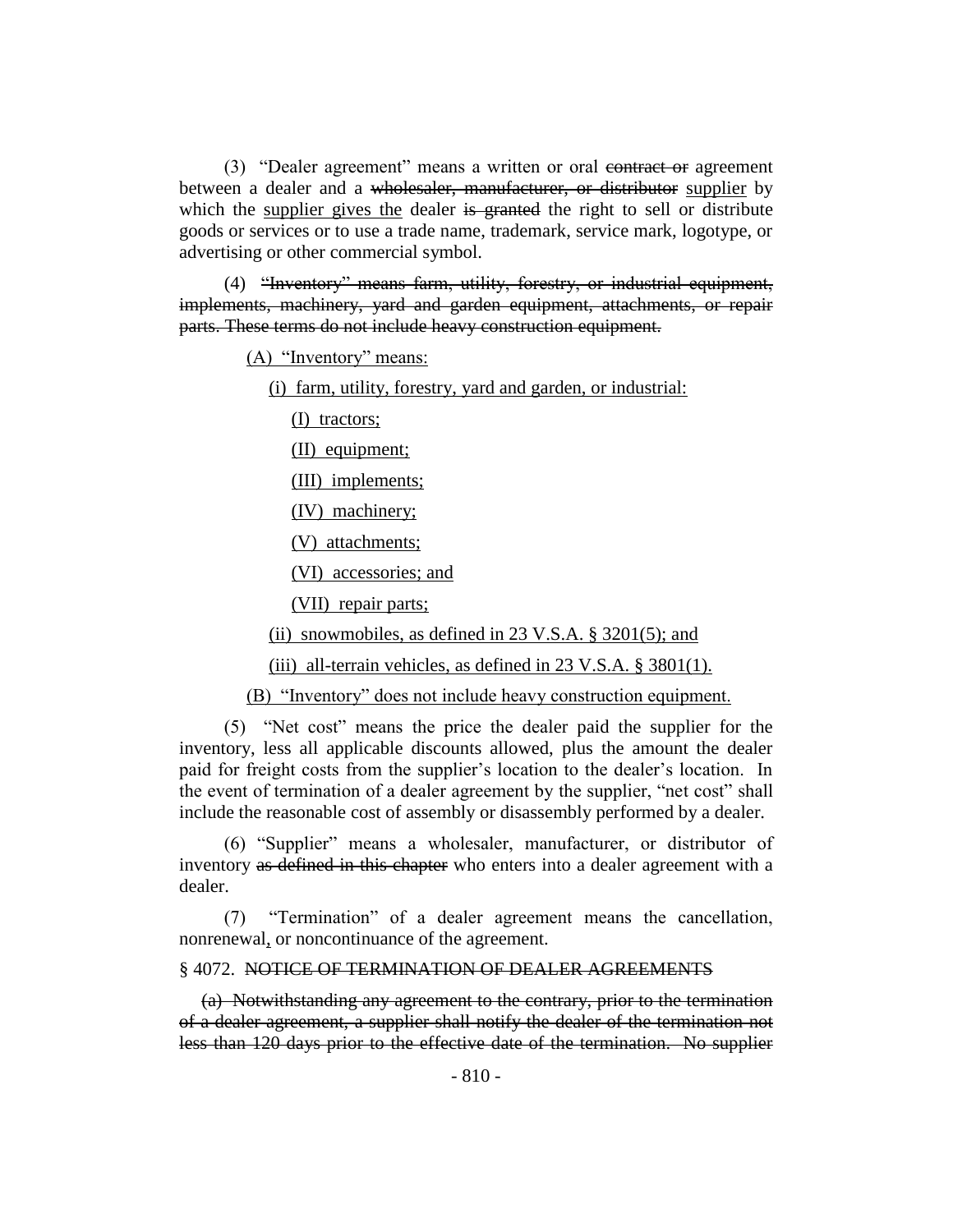(3) "Dealer agreement" means a written or oral contract or agreement between a dealer and a wholesaler, manufacturer, or distributor supplier by which the supplier gives the dealer is granted the right to sell or distribute goods or services or to use a trade name, trademark, service mark, logotype, or advertising or other commercial symbol.

(4) "Inventory" means farm, utility, forestry, or industrial equipment, implements, machinery, yard and garden equipment, attachments, or repair parts. These terms do not include heavy construction equipment.

(A) "Inventory" means:

(i) farm, utility, forestry, yard and garden, or industrial:

(I) tractors;

(II) equipment;

(III) implements;

(IV) machinery;

(V) attachments;

(VI) accessories; and

(VII) repair parts;

(ii) snowmobiles, as defined in  $23 \text{ V.S.A. }$  §  $3201(5)$ ; and

(iii) all-terrain vehicles, as defined in  $23 \text{ V.S.A.}$   $\S 3801(1)$ .

(B) "Inventory" does not include heavy construction equipment.

(5) "Net cost" means the price the dealer paid the supplier for the inventory, less all applicable discounts allowed, plus the amount the dealer paid for freight costs from the supplier's location to the dealer's location. In the event of termination of a dealer agreement by the supplier, "net cost" shall include the reasonable cost of assembly or disassembly performed by a dealer.

(6) "Supplier" means a wholesaler, manufacturer, or distributor of inventory as defined in this chapter who enters into a dealer agreement with a dealer.

(7) "Termination" of a dealer agreement means the cancellation, nonrenewal, or noncontinuance of the agreement.

#### § 4072. NOTICE OF TERMINATION OF DEALER AGREEMENTS

(a) Notwithstanding any agreement to the contrary, prior to the termination of a dealer agreement, a supplier shall notify the dealer of the termination not less than 120 days prior to the effective date of the termination. No supplier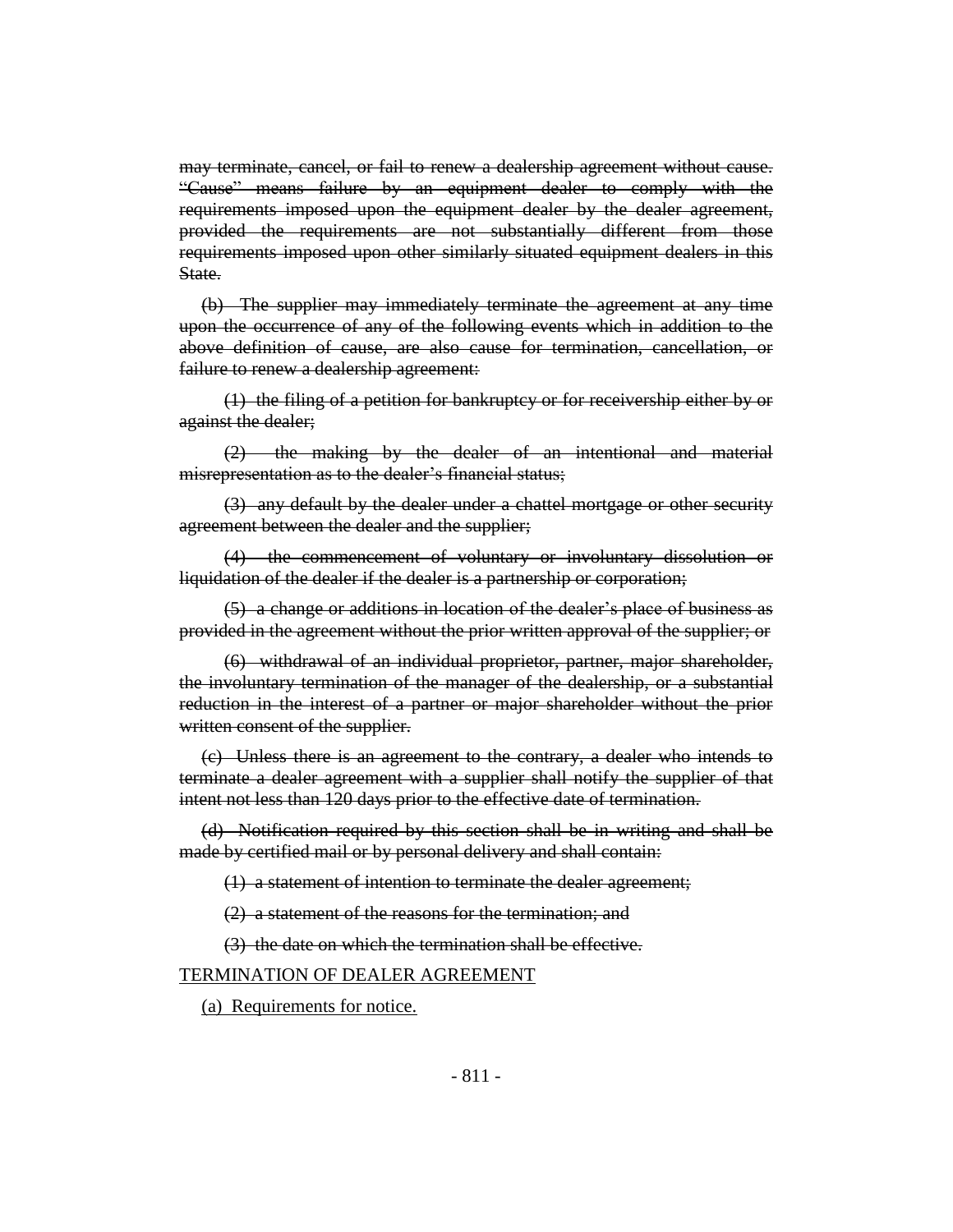may terminate, cancel, or fail to renew a dealership agreement without cause. "Cause" means failure by an equipment dealer to comply with the requirements imposed upon the equipment dealer by the dealer agreement, provided the requirements are not substantially different from those requirements imposed upon other similarly situated equipment dealers in this State.

(b) The supplier may immediately terminate the agreement at any time upon the occurrence of any of the following events which in addition to the above definition of cause, are also cause for termination, cancellation, or failure to renew a dealership agreement:

(1) the filing of a petition for bankruptcy or for receivership either by or against the dealer;

(2) the making by the dealer of an intentional and material misrepresentation as to the dealer's financial status;

(3) any default by the dealer under a chattel mortgage or other security agreement between the dealer and the supplier;

(4) the commencement of voluntary or involuntary dissolution or liquidation of the dealer if the dealer is a partnership or corporation;

(5) a change or additions in location of the dealer's place of business as provided in the agreement without the prior written approval of the supplier; or

(6) withdrawal of an individual proprietor, partner, major shareholder, the involuntary termination of the manager of the dealership, or a substantial reduction in the interest of a partner or major shareholder without the prior written consent of the supplier.

(c) Unless there is an agreement to the contrary, a dealer who intends to terminate a dealer agreement with a supplier shall notify the supplier of that intent not less than 120 days prior to the effective date of termination.

(d) Notification required by this section shall be in writing and shall be made by certified mail or by personal delivery and shall contain:

(1) a statement of intention to terminate the dealer agreement;

(2) a statement of the reasons for the termination; and

(3) the date on which the termination shall be effective.

## TERMINATION OF DEALER AGREEMENT

(a) Requirements for notice.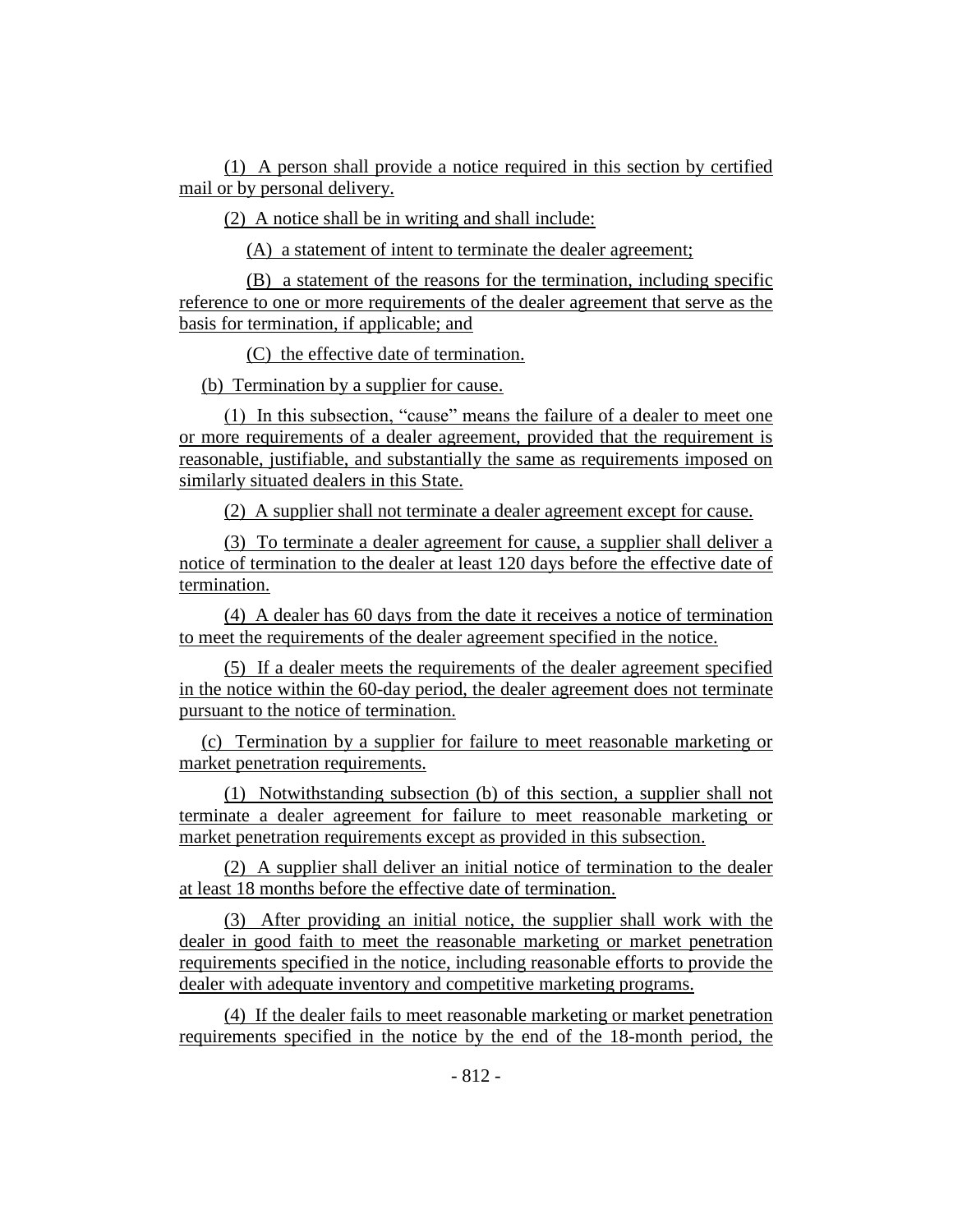(1) A person shall provide a notice required in this section by certified mail or by personal delivery.

(2) A notice shall be in writing and shall include:

(A) a statement of intent to terminate the dealer agreement;

(B) a statement of the reasons for the termination, including specific reference to one or more requirements of the dealer agreement that serve as the basis for termination, if applicable; and

(C) the effective date of termination.

(b) Termination by a supplier for cause.

(1) In this subsection, "cause" means the failure of a dealer to meet one or more requirements of a dealer agreement, provided that the requirement is reasonable, justifiable, and substantially the same as requirements imposed on similarly situated dealers in this State.

(2) A supplier shall not terminate a dealer agreement except for cause.

(3) To terminate a dealer agreement for cause, a supplier shall deliver a notice of termination to the dealer at least 120 days before the effective date of termination.

(4) A dealer has 60 days from the date it receives a notice of termination to meet the requirements of the dealer agreement specified in the notice.

(5) If a dealer meets the requirements of the dealer agreement specified in the notice within the 60-day period, the dealer agreement does not terminate pursuant to the notice of termination.

(c) Termination by a supplier for failure to meet reasonable marketing or market penetration requirements.

(1) Notwithstanding subsection (b) of this section, a supplier shall not terminate a dealer agreement for failure to meet reasonable marketing or market penetration requirements except as provided in this subsection.

(2) A supplier shall deliver an initial notice of termination to the dealer at least 18 months before the effective date of termination.

(3) After providing an initial notice, the supplier shall work with the dealer in good faith to meet the reasonable marketing or market penetration requirements specified in the notice, including reasonable efforts to provide the dealer with adequate inventory and competitive marketing programs.

(4) If the dealer fails to meet reasonable marketing or market penetration requirements specified in the notice by the end of the 18-month period, the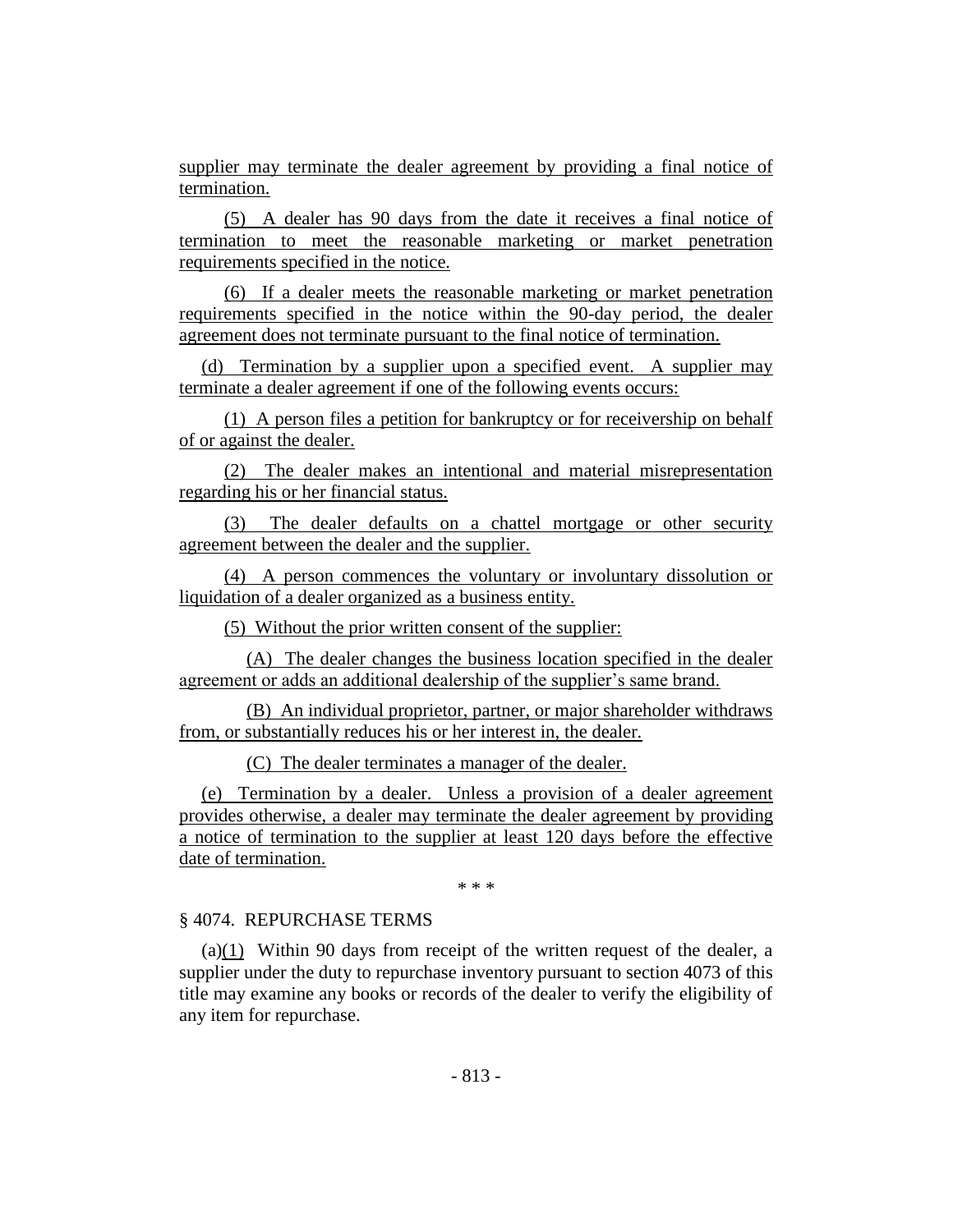supplier may terminate the dealer agreement by providing a final notice of termination.

(5) A dealer has 90 days from the date it receives a final notice of termination to meet the reasonable marketing or market penetration requirements specified in the notice.

(6) If a dealer meets the reasonable marketing or market penetration requirements specified in the notice within the 90-day period, the dealer agreement does not terminate pursuant to the final notice of termination.

(d) Termination by a supplier upon a specified event. A supplier may terminate a dealer agreement if one of the following events occurs:

(1) A person files a petition for bankruptcy or for receivership on behalf of or against the dealer.

(2) The dealer makes an intentional and material misrepresentation regarding his or her financial status.

(3) The dealer defaults on a chattel mortgage or other security agreement between the dealer and the supplier.

(4) A person commences the voluntary or involuntary dissolution or liquidation of a dealer organized as a business entity.

(5) Without the prior written consent of the supplier:

(A) The dealer changes the business location specified in the dealer agreement or adds an additional dealership of the supplier's same brand.

(B) An individual proprietor, partner, or major shareholder withdraws from, or substantially reduces his or her interest in, the dealer.

(C) The dealer terminates a manager of the dealer.

(e) Termination by a dealer. Unless a provision of a dealer agreement provides otherwise, a dealer may terminate the dealer agreement by providing a notice of termination to the supplier at least 120 days before the effective date of termination.

\* \* \*

## § 4074. REPURCHASE TERMS

(a)(1) Within 90 days from receipt of the written request of the dealer, a supplier under the duty to repurchase inventory pursuant to section 4073 of this title may examine any books or records of the dealer to verify the eligibility of any item for repurchase.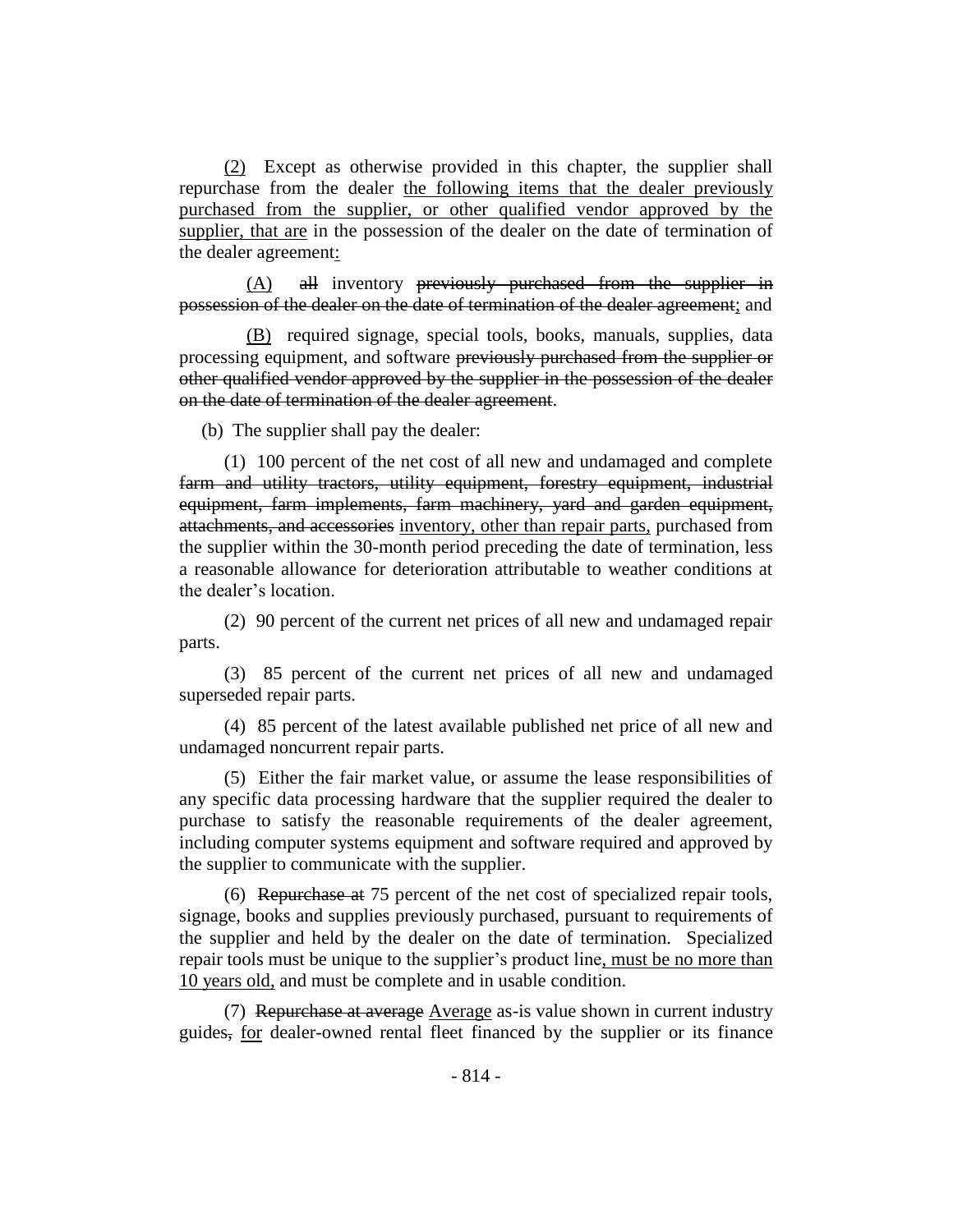(2) Except as otherwise provided in this chapter, the supplier shall repurchase from the dealer the following items that the dealer previously purchased from the supplier, or other qualified vendor approved by the supplier, that are in the possession of the dealer on the date of termination of the dealer agreement:

 $(A)$  all inventory previously purchased from the supplier in possession of the dealer on the date of termination of the dealer agreement; and

(B) required signage, special tools, books, manuals, supplies, data processing equipment, and software previously purchased from the supplier or other qualified vendor approved by the supplier in the possession of the dealer on the date of termination of the dealer agreement.

(b) The supplier shall pay the dealer:

(1) 100 percent of the net cost of all new and undamaged and complete farm and utility tractors, utility equipment, forestry equipment, industrial equipment, farm implements, farm machinery, yard and garden equipment, attachments, and accessories inventory, other than repair parts, purchased from the supplier within the 30-month period preceding the date of termination, less a reasonable allowance for deterioration attributable to weather conditions at the dealer's location.

(2) 90 percent of the current net prices of all new and undamaged repair parts.

(3) 85 percent of the current net prices of all new and undamaged superseded repair parts.

(4) 85 percent of the latest available published net price of all new and undamaged noncurrent repair parts.

(5) Either the fair market value, or assume the lease responsibilities of any specific data processing hardware that the supplier required the dealer to purchase to satisfy the reasonable requirements of the dealer agreement, including computer systems equipment and software required and approved by the supplier to communicate with the supplier.

(6) Repurchase at 75 percent of the net cost of specialized repair tools, signage, books and supplies previously purchased, pursuant to requirements of the supplier and held by the dealer on the date of termination. Specialized repair tools must be unique to the supplier's product line, must be no more than 10 years old, and must be complete and in usable condition.

(7) Repurchase at average Average as-is value shown in current industry guides, for dealer-owned rental fleet financed by the supplier or its finance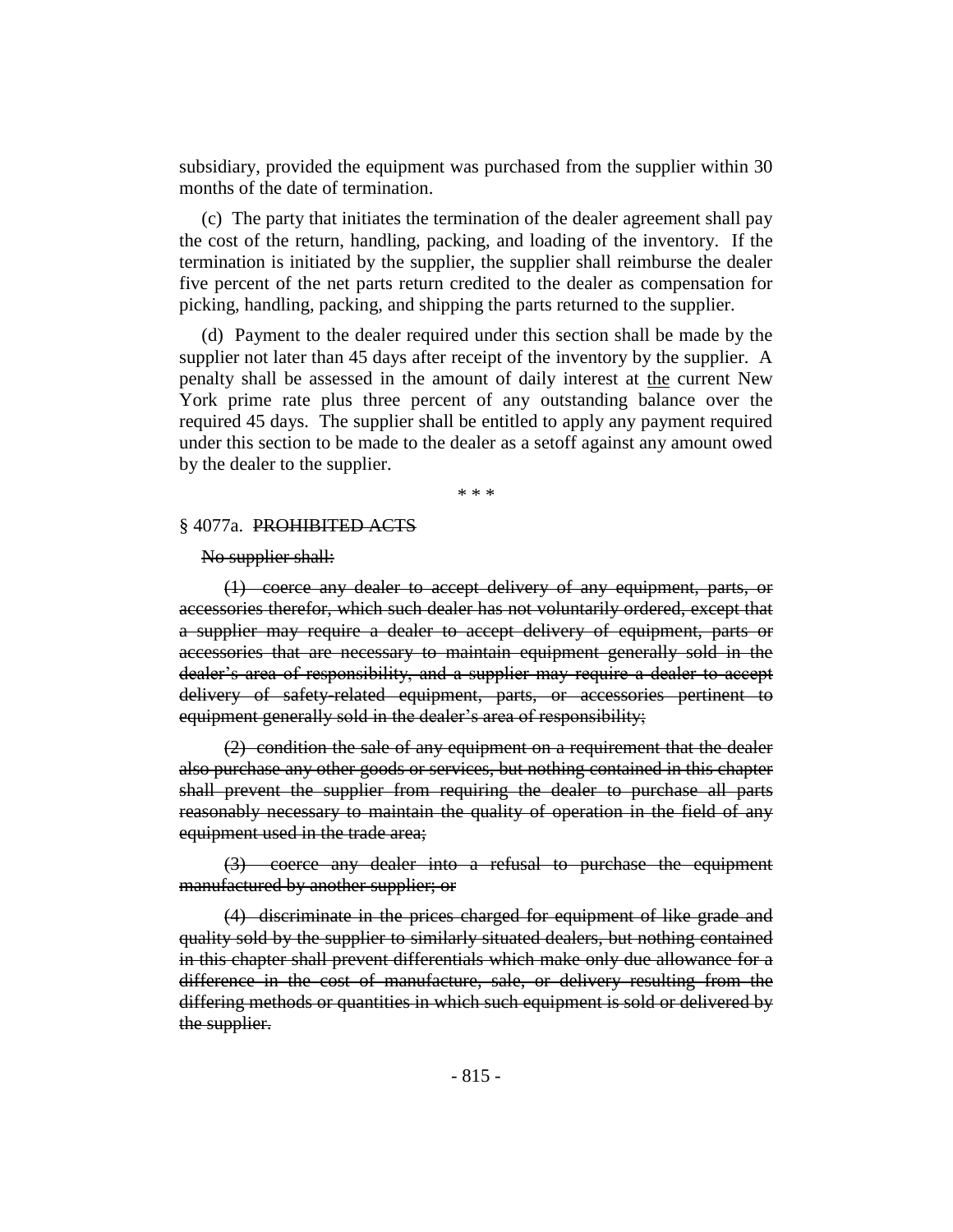subsidiary, provided the equipment was purchased from the supplier within 30 months of the date of termination.

(c) The party that initiates the termination of the dealer agreement shall pay the cost of the return, handling, packing, and loading of the inventory. If the termination is initiated by the supplier, the supplier shall reimburse the dealer five percent of the net parts return credited to the dealer as compensation for picking, handling, packing, and shipping the parts returned to the supplier.

(d) Payment to the dealer required under this section shall be made by the supplier not later than 45 days after receipt of the inventory by the supplier. A penalty shall be assessed in the amount of daily interest at the current New York prime rate plus three percent of any outstanding balance over the required 45 days. The supplier shall be entitled to apply any payment required under this section to be made to the dealer as a setoff against any amount owed by the dealer to the supplier.

\* \* \*

#### § 4077a. PROHIBITED ACTS

#### No supplier shall:

(1) coerce any dealer to accept delivery of any equipment, parts, or accessories therefor, which such dealer has not voluntarily ordered, except that a supplier may require a dealer to accept delivery of equipment, parts or accessories that are necessary to maintain equipment generally sold in the dealer's area of responsibility, and a supplier may require a dealer to accept delivery of safety-related equipment, parts, or accessories pertinent to equipment generally sold in the dealer's area of responsibility;

(2) condition the sale of any equipment on a requirement that the dealer also purchase any other goods or services, but nothing contained in this chapter shall prevent the supplier from requiring the dealer to purchase all parts reasonably necessary to maintain the quality of operation in the field of any equipment used in the trade area;

(3) coerce any dealer into a refusal to purchase the equipment manufactured by another supplier; or

(4) discriminate in the prices charged for equipment of like grade and quality sold by the supplier to similarly situated dealers, but nothing contained in this chapter shall prevent differentials which make only due allowance for a difference in the cost of manufacture, sale, or delivery resulting from the differing methods or quantities in which such equipment is sold or delivered by the supplier.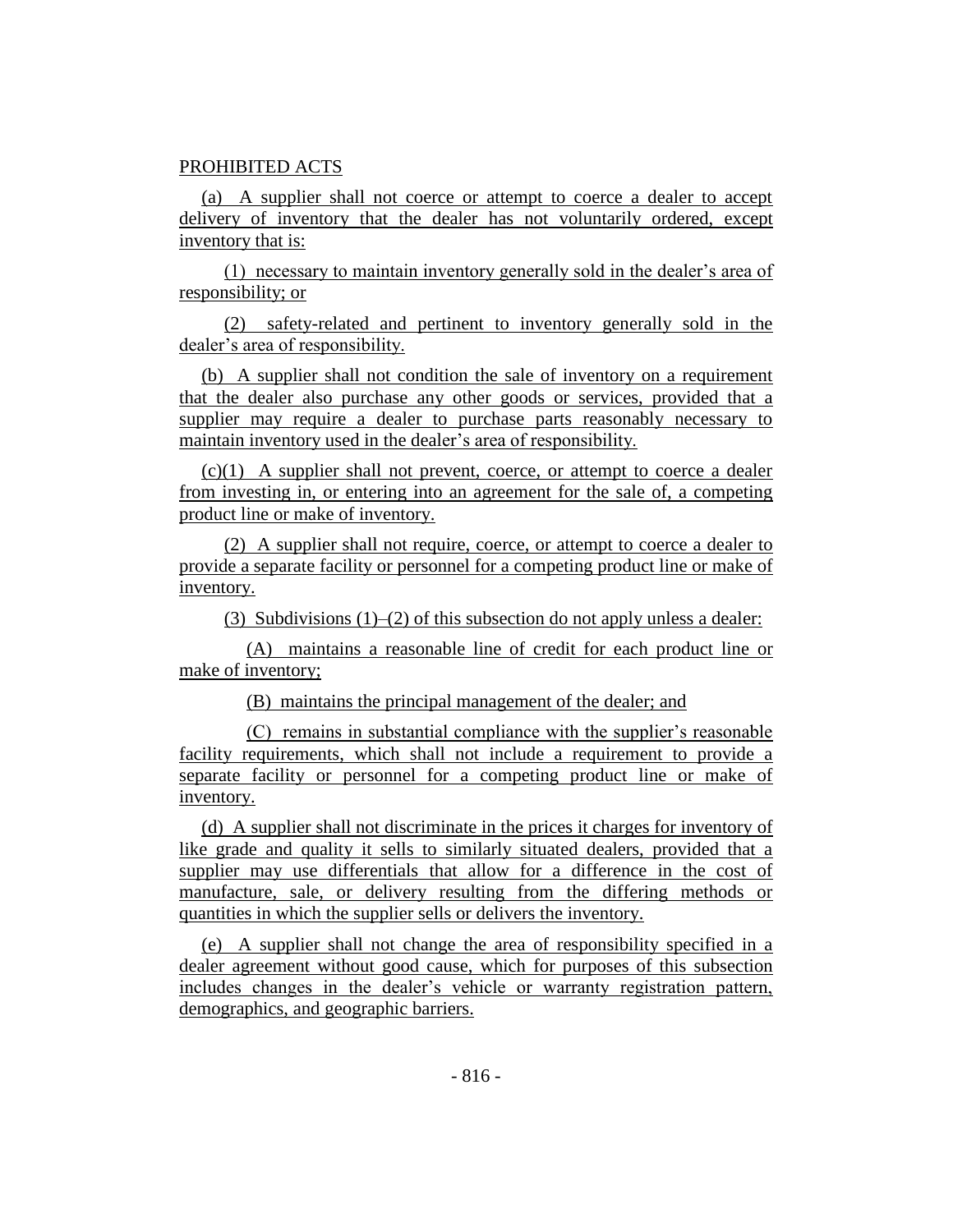#### PROHIBITED ACTS

(a) A supplier shall not coerce or attempt to coerce a dealer to accept delivery of inventory that the dealer has not voluntarily ordered, except inventory that is:

(1) necessary to maintain inventory generally sold in the dealer's area of responsibility; or

(2) safety-related and pertinent to inventory generally sold in the dealer's area of responsibility.

(b) A supplier shall not condition the sale of inventory on a requirement that the dealer also purchase any other goods or services, provided that a supplier may require a dealer to purchase parts reasonably necessary to maintain inventory used in the dealer's area of responsibility.

(c)(1) A supplier shall not prevent, coerce, or attempt to coerce a dealer from investing in, or entering into an agreement for the sale of, a competing product line or make of inventory.

(2) A supplier shall not require, coerce, or attempt to coerce a dealer to provide a separate facility or personnel for a competing product line or make of inventory.

(3) Subdivisions (1)–(2) of this subsection do not apply unless a dealer:

(A) maintains a reasonable line of credit for each product line or make of inventory;

(B) maintains the principal management of the dealer; and

(C) remains in substantial compliance with the supplier's reasonable facility requirements, which shall not include a requirement to provide a separate facility or personnel for a competing product line or make of inventory.

(d) A supplier shall not discriminate in the prices it charges for inventory of like grade and quality it sells to similarly situated dealers, provided that a supplier may use differentials that allow for a difference in the cost of manufacture, sale, or delivery resulting from the differing methods or quantities in which the supplier sells or delivers the inventory.

(e) A supplier shall not change the area of responsibility specified in a dealer agreement without good cause, which for purposes of this subsection includes changes in the dealer's vehicle or warranty registration pattern, demographics, and geographic barriers.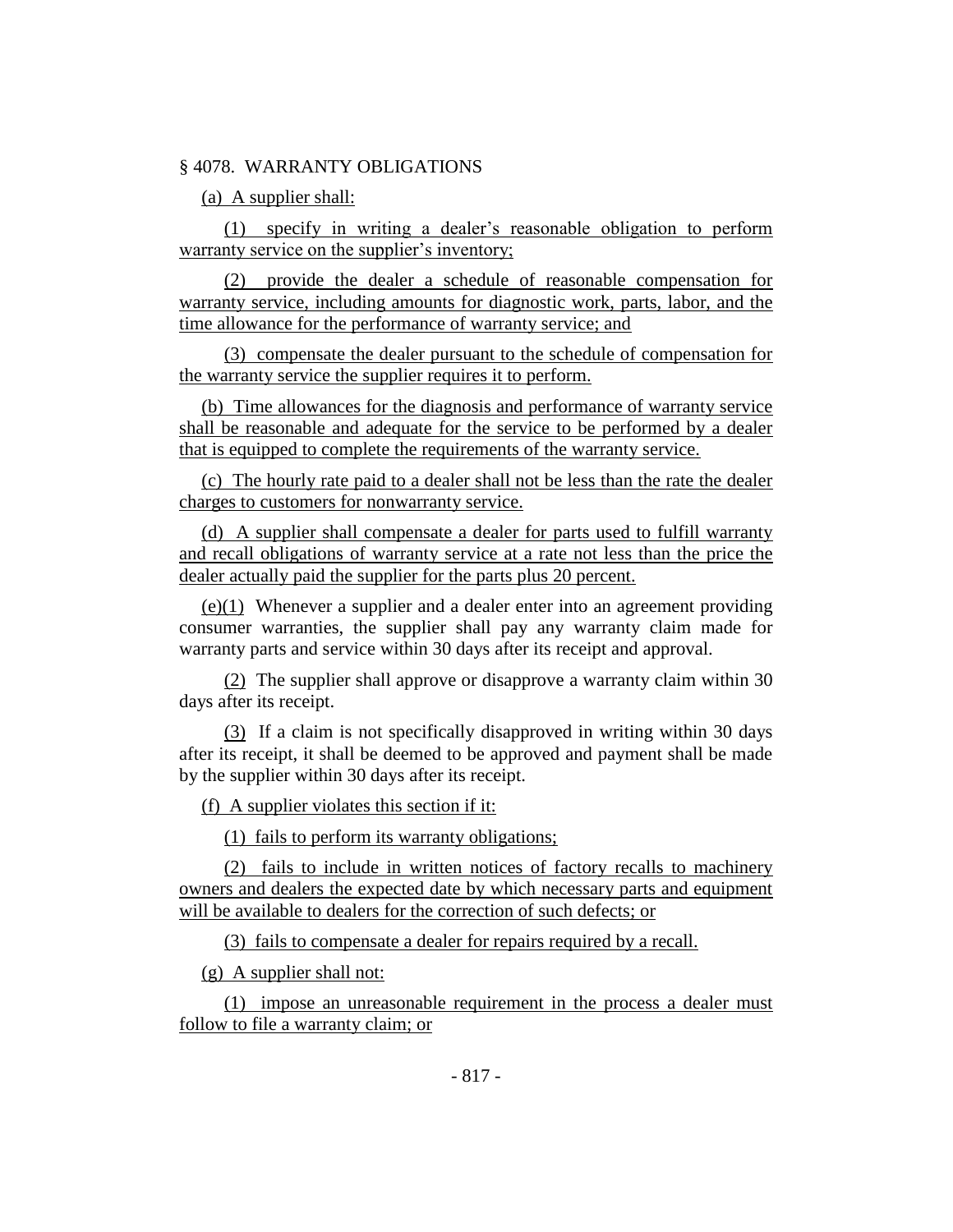#### § 4078. WARRANTY OBLIGATIONS

(a) A supplier shall:

(1) specify in writing a dealer's reasonable obligation to perform warranty service on the supplier's inventory;

(2) provide the dealer a schedule of reasonable compensation for warranty service, including amounts for diagnostic work, parts, labor, and the time allowance for the performance of warranty service; and

(3) compensate the dealer pursuant to the schedule of compensation for the warranty service the supplier requires it to perform.

(b) Time allowances for the diagnosis and performance of warranty service shall be reasonable and adequate for the service to be performed by a dealer that is equipped to complete the requirements of the warranty service.

(c) The hourly rate paid to a dealer shall not be less than the rate the dealer charges to customers for nonwarranty service.

(d) A supplier shall compensate a dealer for parts used to fulfill warranty and recall obligations of warranty service at a rate not less than the price the dealer actually paid the supplier for the parts plus 20 percent.

 $(e)(1)$  Whenever a supplier and a dealer enter into an agreement providing consumer warranties, the supplier shall pay any warranty claim made for warranty parts and service within 30 days after its receipt and approval.

(2) The supplier shall approve or disapprove a warranty claim within 30 days after its receipt.

(3) If a claim is not specifically disapproved in writing within 30 days after its receipt, it shall be deemed to be approved and payment shall be made by the supplier within 30 days after its receipt.

(f) A supplier violates this section if it:

(1) fails to perform its warranty obligations;

(2) fails to include in written notices of factory recalls to machinery owners and dealers the expected date by which necessary parts and equipment will be available to dealers for the correction of such defects; or

(3) fails to compensate a dealer for repairs required by a recall.

(g) A supplier shall not:

(1) impose an unreasonable requirement in the process a dealer must follow to file a warranty claim; or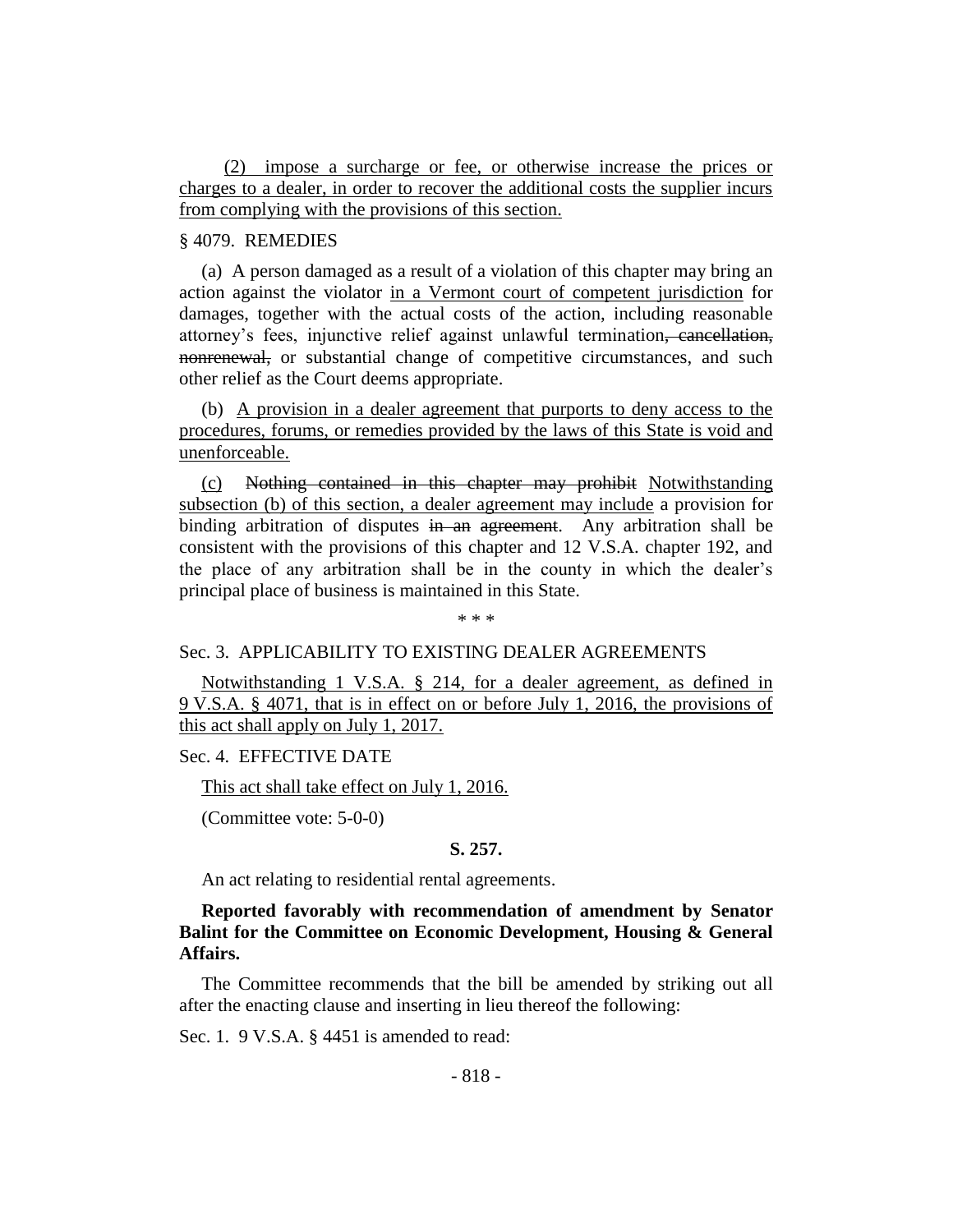(2) impose a surcharge or fee, or otherwise increase the prices or charges to a dealer, in order to recover the additional costs the supplier incurs from complying with the provisions of this section.

## § 4079. REMEDIES

(a) A person damaged as a result of a violation of this chapter may bring an action against the violator in a Vermont court of competent jurisdiction for damages, together with the actual costs of the action, including reasonable attorney's fees, injunctive relief against unlawful termination, cancellation, nonrenewal, or substantial change of competitive circumstances, and such other relief as the Court deems appropriate.

(b) A provision in a dealer agreement that purports to deny access to the procedures, forums, or remedies provided by the laws of this State is void and unenforceable.

(c) Nothing contained in this chapter may prohibit Notwithstanding subsection (b) of this section, a dealer agreement may include a provision for binding arbitration of disputes in an agreement. Any arbitration shall be consistent with the provisions of this chapter and 12 V.S.A. chapter 192, and the place of any arbitration shall be in the county in which the dealer's principal place of business is maintained in this State.

\* \* \*

## Sec. 3. APPLICABILITY TO EXISTING DEALER AGREEMENTS

Notwithstanding 1 V.S.A. § 214, for a dealer agreement, as defined in 9 V.S.A. § 4071, that is in effect on or before July 1, 2016, the provisions of this act shall apply on July 1, 2017.

Sec. 4. EFFECTIVE DATE

This act shall take effect on July 1, 2016.

(Committee vote: 5-0-0)

## **S. 257.**

An act relating to residential rental agreements.

## **Reported favorably with recommendation of amendment by Senator Balint for the Committee on Economic Development, Housing & General Affairs.**

The Committee recommends that the bill be amended by striking out all after the enacting clause and inserting in lieu thereof the following:

Sec. 1. 9 V.S.A. § 4451 is amended to read: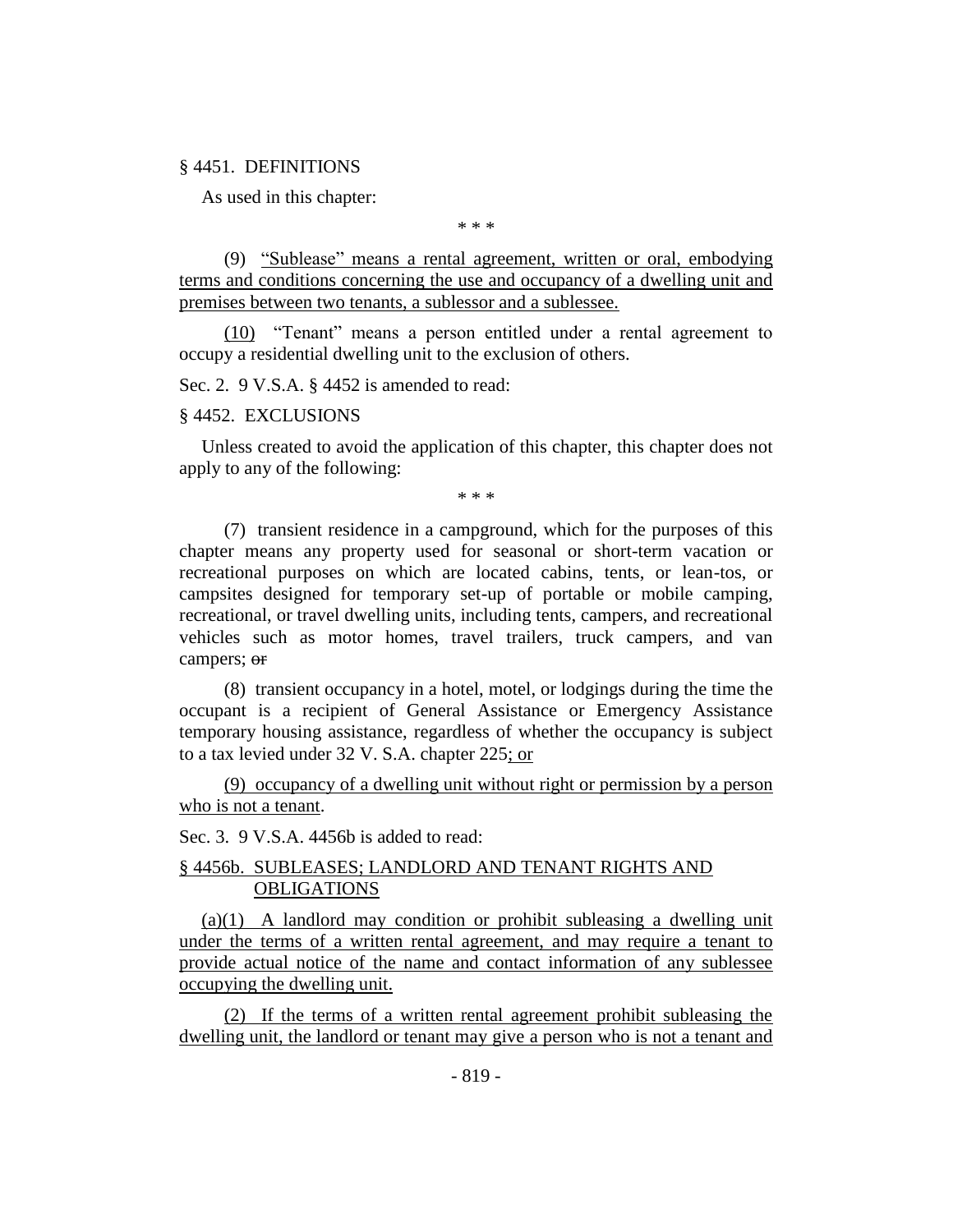#### § 4451. DEFINITIONS

As used in this chapter:

\* \* \*

(9) "Sublease" means a rental agreement, written or oral, embodying terms and conditions concerning the use and occupancy of a dwelling unit and premises between two tenants, a sublessor and a sublessee.

(10) "Tenant" means a person entitled under a rental agreement to occupy a residential dwelling unit to the exclusion of others.

Sec. 2. 9 V.S.A. § 4452 is amended to read:

#### § 4452. EXCLUSIONS

Unless created to avoid the application of this chapter, this chapter does not apply to any of the following:

\* \* \*

(7) transient residence in a campground, which for the purposes of this chapter means any property used for seasonal or short-term vacation or recreational purposes on which are located cabins, tents, or lean-tos, or campsites designed for temporary set-up of portable or mobile camping, recreational, or travel dwelling units, including tents, campers, and recreational vehicles such as motor homes, travel trailers, truck campers, and van campers; or

(8) transient occupancy in a hotel, motel, or lodgings during the time the occupant is a recipient of General Assistance or Emergency Assistance temporary housing assistance, regardless of whether the occupancy is subject to a tax levied under 32 V. S.A. chapter 225; or

(9) occupancy of a dwelling unit without right or permission by a person who is not a tenant.

Sec. 3. 9 V.S.A. 4456b is added to read:

#### § 4456b. SUBLEASES; LANDLORD AND TENANT RIGHTS AND OBLIGATIONS

 $(a)(1)$  A landlord may condition or prohibit subleasing a dwelling unit under the terms of a written rental agreement, and may require a tenant to provide actual notice of the name and contact information of any sublessee occupying the dwelling unit.

(2) If the terms of a written rental agreement prohibit subleasing the dwelling unit, the landlord or tenant may give a person who is not a tenant and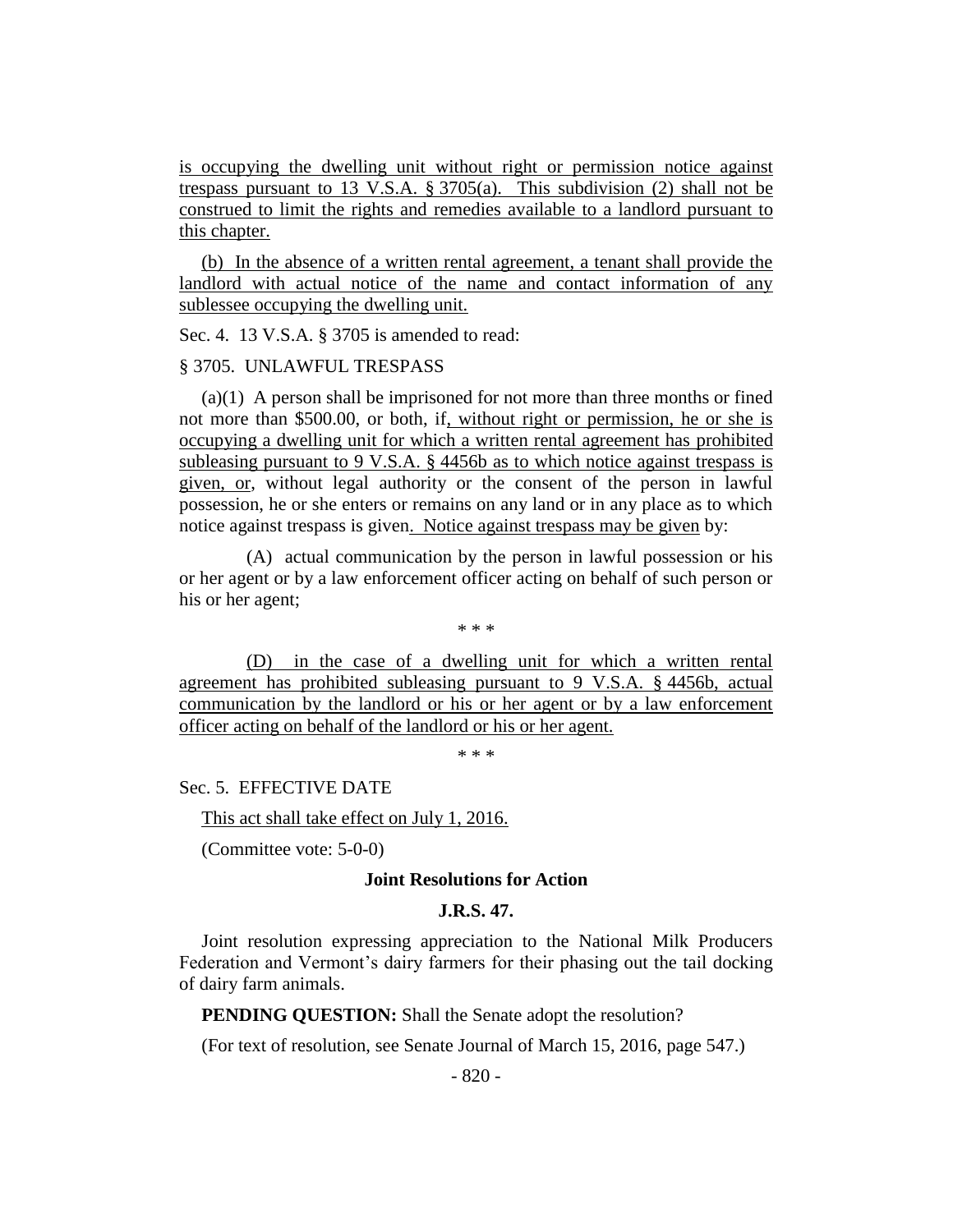is occupying the dwelling unit without right or permission notice against trespass pursuant to 13 V.S.A. § 3705(a). This subdivision (2) shall not be construed to limit the rights and remedies available to a landlord pursuant to this chapter.

(b) In the absence of a written rental agreement, a tenant shall provide the landlord with actual notice of the name and contact information of any sublessee occupying the dwelling unit.

Sec. 4. 13 V.S.A. § 3705 is amended to read:

#### § 3705. UNLAWFUL TRESPASS

(a)(1) A person shall be imprisoned for not more than three months or fined not more than \$500.00, or both, if, without right or permission, he or she is occupying a dwelling unit for which a written rental agreement has prohibited subleasing pursuant to 9 V.S.A. § 4456b as to which notice against trespass is given, or, without legal authority or the consent of the person in lawful possession, he or she enters or remains on any land or in any place as to which notice against trespass is given. Notice against trespass may be given by:

(A) actual communication by the person in lawful possession or his or her agent or by a law enforcement officer acting on behalf of such person or his or her agent;

\* \* \*

(D) in the case of a dwelling unit for which a written rental agreement has prohibited subleasing pursuant to 9 V.S.A. § 4456b, actual communication by the landlord or his or her agent or by a law enforcement officer acting on behalf of the landlord or his or her agent.

\* \* \*

Sec. 5. EFFECTIVE DATE

This act shall take effect on July 1, 2016.

(Committee vote: 5-0-0)

#### **Joint Resolutions for Action**

#### **J.R.S. 47.**

Joint resolution expressing appreciation to the National Milk Producers Federation and Vermont's dairy farmers for their phasing out the tail docking of dairy farm animals.

**PENDING OUESTION:** Shall the Senate adopt the resolution?

(For text of resolution, see Senate Journal of March 15, 2016, page 547.)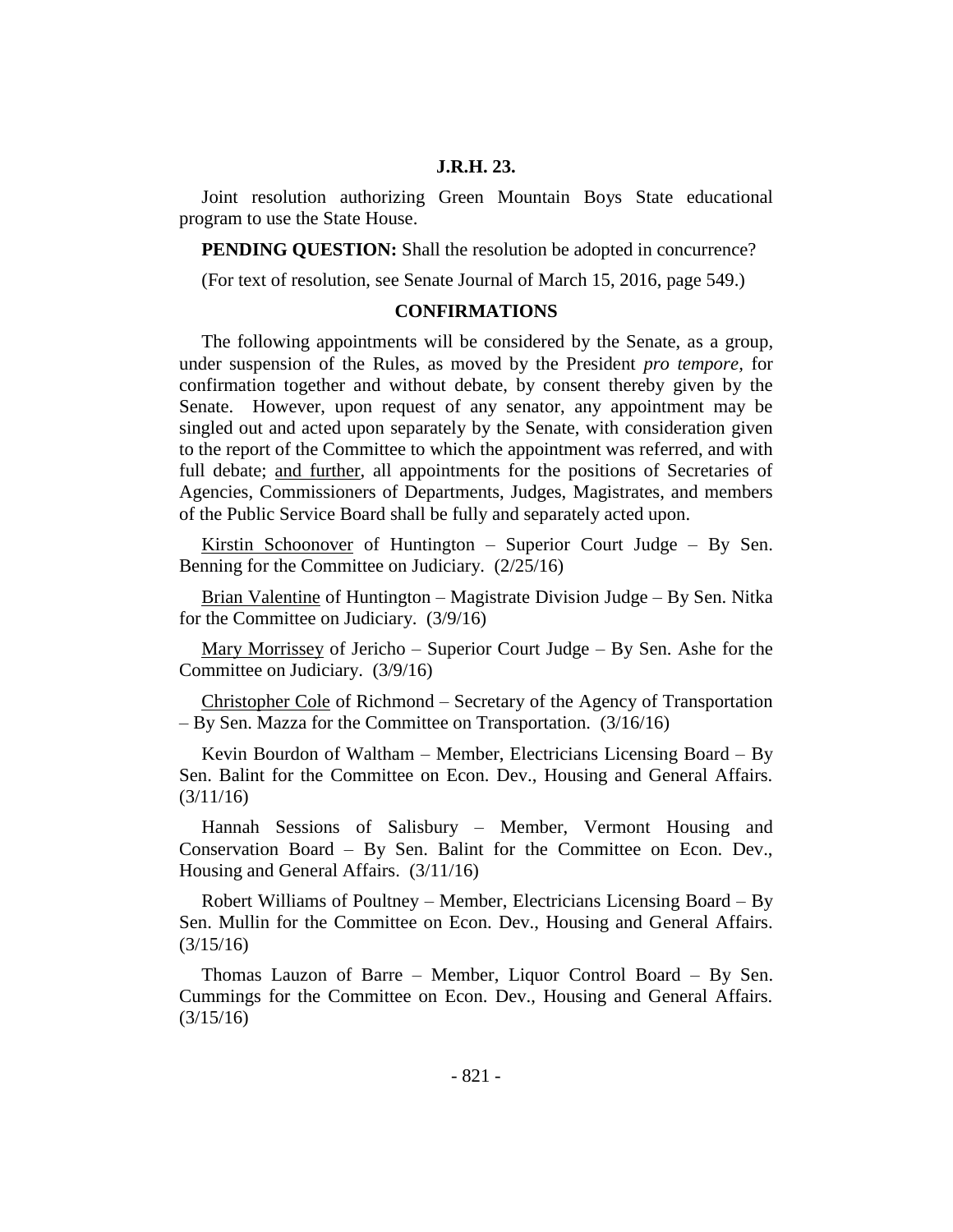#### **J.R.H. 23.**

Joint resolution authorizing Green Mountain Boys State educational program to use the State House.

**PENDING QUESTION:** Shall the resolution be adopted in concurrence?

(For text of resolution, see Senate Journal of March 15, 2016, page 549.)

#### **CONFIRMATIONS**

The following appointments will be considered by the Senate, as a group, under suspension of the Rules, as moved by the President *pro tempore,* for confirmation together and without debate, by consent thereby given by the Senate. However, upon request of any senator, any appointment may be singled out and acted upon separately by the Senate, with consideration given to the report of the Committee to which the appointment was referred, and with full debate; and further, all appointments for the positions of Secretaries of Agencies, Commissioners of Departments, Judges, Magistrates, and members of the Public Service Board shall be fully and separately acted upon.

Kirstin Schoonover of Huntington – Superior Court Judge – By Sen. Benning for the Committee on Judiciary. (2/25/16)

Brian Valentine of Huntington – Magistrate Division Judge – By Sen. Nitka for the Committee on Judiciary. (3/9/16)

Mary Morrissey of Jericho – Superior Court Judge – By Sen. Ashe for the Committee on Judiciary. (3/9/16)

Christopher Cole of Richmond – Secretary of the Agency of Transportation – By Sen. Mazza for the Committee on Transportation. (3/16/16)

Kevin Bourdon of Waltham – Member, Electricians Licensing Board – By Sen. Balint for the Committee on Econ. Dev., Housing and General Affairs. (3/11/16)

Hannah Sessions of Salisbury – Member, Vermont Housing and Conservation Board – By Sen. Balint for the Committee on Econ. Dev., Housing and General Affairs. (3/11/16)

Robert Williams of Poultney – Member, Electricians Licensing Board – By Sen. Mullin for the Committee on Econ. Dev., Housing and General Affairs. (3/15/16)

Thomas Lauzon of Barre – Member, Liquor Control Board – By Sen. Cummings for the Committee on Econ. Dev., Housing and General Affairs. (3/15/16)